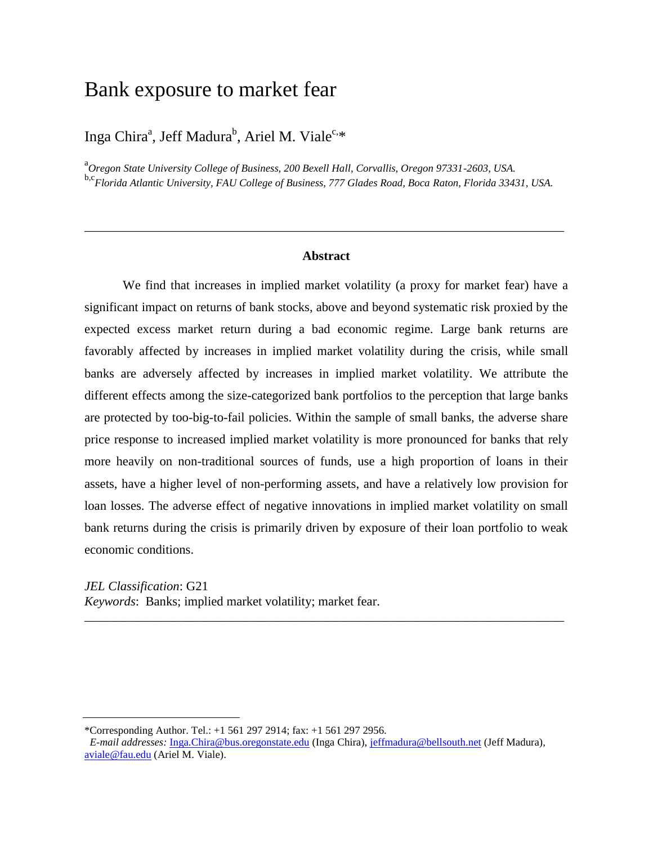# Bank exposure to market fear

## Inga Chira<sup>a</sup>, Jeff Madura<sup>b</sup>, Ariel M. Viale<sup>c,</sup>\*

a *Oregon State University College of Business, 200 Bexell Hall, Corvallis, Oregon 97331-2603, USA.* b,c*Florida Atlantic University, FAU College of Business, 777 Glades Road, Boca Raton, Florida 33431, USA.*

## **Abstract**

\_\_\_\_\_\_\_\_\_\_\_\_\_\_\_\_\_\_\_\_\_\_\_\_\_\_\_\_\_\_\_\_\_\_\_\_\_\_\_\_\_\_\_\_\_\_\_\_\_\_\_\_\_\_\_\_\_\_\_\_\_\_\_\_\_\_\_\_\_\_\_\_\_\_\_

We find that increases in implied market volatility (a proxy for market fear) have a significant impact on returns of bank stocks, above and beyond systematic risk proxied by the expected excess market return during a bad economic regime. Large bank returns are favorably affected by increases in implied market volatility during the crisis, while small banks are adversely affected by increases in implied market volatility. We attribute the different effects among the size-categorized bank portfolios to the perception that large banks are protected by too-big-to-fail policies. Within the sample of small banks, the adverse share price response to increased implied market volatility is more pronounced for banks that rely more heavily on non-traditional sources of funds, use a high proportion of loans in their assets, have a higher level of non-performing assets, and have a relatively low provision for loan losses. The adverse effect of negative innovations in implied market volatility on small bank returns during the crisis is primarily driven by exposure of their loan portfolio to weak economic conditions.

*JEL Classification*: G21 *Keywords*: Banks; implied market volatility; market fear.

\_\_\_\_\_\_\_\_\_\_\_\_\_\_\_\_\_\_\_\_\_\_\_\_\_\_\_\_\_\_\_\_\_\_\_\_\_\_\_\_\_\_\_\_\_\_\_\_\_\_\_\_\_\_\_\_\_\_\_\_\_\_\_\_\_\_\_\_\_\_\_\_\_\_\_

<sup>\*</sup>Corresponding Author. Tel.: +1 561 297 2914; fax: +1 561 297 2956.

*E-mail addresses:* [Inga.Chira@bus.oregonstate.edu](mailto:Inga.Chira@bus.oregonstate.edu) (Inga Chira), [jeffmadura@bellsouth.net](mailto:jeffmadura@bellsouth.net) (Jeff Madura), [aviale@fau.edu](mailto:aviale@fau.edu) (Ariel M. Viale).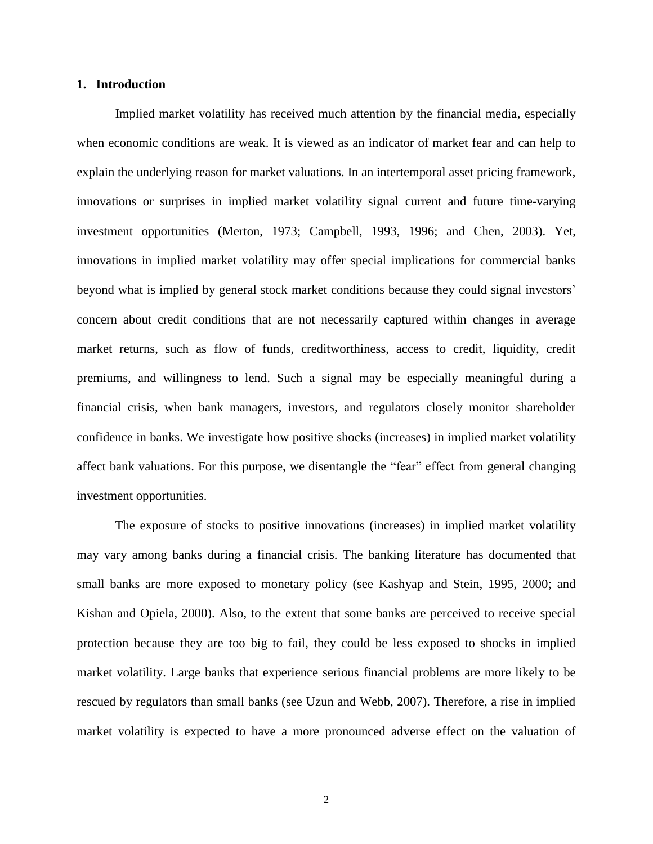## **1. Introduction**

Implied market volatility has received much attention by the financial media, especially when economic conditions are weak. It is viewed as an indicator of market fear and can help to explain the underlying reason for market valuations. In an intertemporal asset pricing framework, innovations or surprises in implied market volatility signal current and future time-varying investment opportunities (Merton, 1973; Campbell, 1993, 1996; and Chen, 2003). Yet, innovations in implied market volatility may offer special implications for commercial banks beyond what is implied by general stock market conditions because they could signal investors' concern about credit conditions that are not necessarily captured within changes in average market returns, such as flow of funds, creditworthiness, access to credit, liquidity, credit premiums, and willingness to lend. Such a signal may be especially meaningful during a financial crisis, when bank managers, investors, and regulators closely monitor shareholder confidence in banks. We investigate how positive shocks (increases) in implied market volatility affect bank valuations. For this purpose, we disentangle the "fear" effect from general changing investment opportunities.

The exposure of stocks to positive innovations (increases) in implied market volatility may vary among banks during a financial crisis. The banking literature has documented that small banks are more exposed to monetary policy (see Kashyap and Stein, 1995, 2000; and Kishan and Opiela, 2000). Also, to the extent that some banks are perceived to receive special protection because they are too big to fail, they could be less exposed to shocks in implied market volatility. Large banks that experience serious financial problems are more likely to be rescued by regulators than small banks (see Uzun and Webb, 2007). Therefore, a rise in implied market volatility is expected to have a more pronounced adverse effect on the valuation of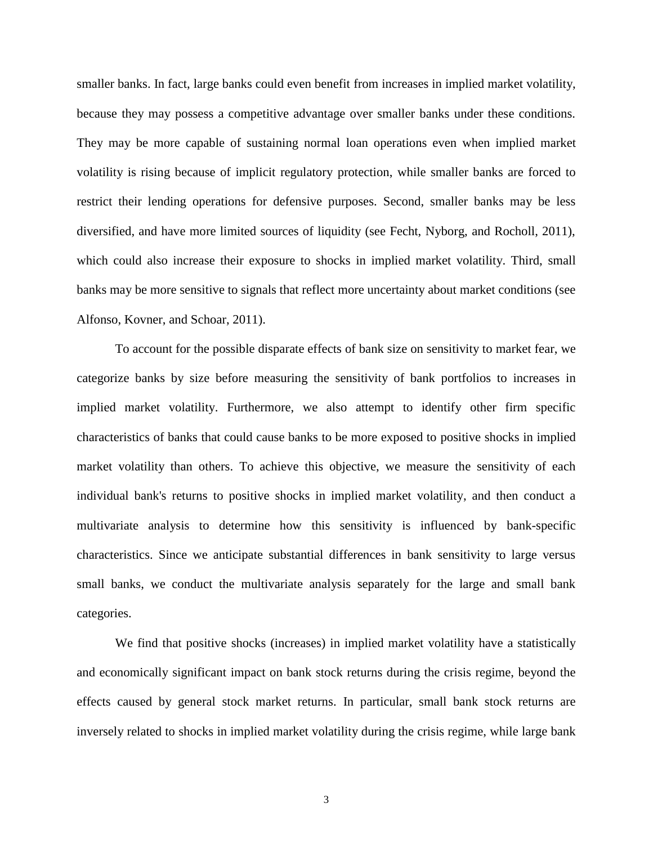smaller banks. In fact, large banks could even benefit from increases in implied market volatility, because they may possess a competitive advantage over smaller banks under these conditions. They may be more capable of sustaining normal loan operations even when implied market volatility is rising because of implicit regulatory protection, while smaller banks are forced to restrict their lending operations for defensive purposes. Second, smaller banks may be less diversified, and have more limited sources of liquidity (see Fecht, Nyborg, and Rocholl, 2011), which could also increase their exposure to shocks in implied market volatility. Third, small banks may be more sensitive to signals that reflect more uncertainty about market conditions (see Alfonso, Kovner, and Schoar, 2011).

To account for the possible disparate effects of bank size on sensitivity to market fear, we categorize banks by size before measuring the sensitivity of bank portfolios to increases in implied market volatility. Furthermore, we also attempt to identify other firm specific characteristics of banks that could cause banks to be more exposed to positive shocks in implied market volatility than others. To achieve this objective, we measure the sensitivity of each individual bank's returns to positive shocks in implied market volatility, and then conduct a multivariate analysis to determine how this sensitivity is influenced by bank-specific characteristics. Since we anticipate substantial differences in bank sensitivity to large versus small banks, we conduct the multivariate analysis separately for the large and small bank categories.

We find that positive shocks (increases) in implied market volatility have a statistically and economically significant impact on bank stock returns during the crisis regime, beyond the effects caused by general stock market returns. In particular, small bank stock returns are inversely related to shocks in implied market volatility during the crisis regime, while large bank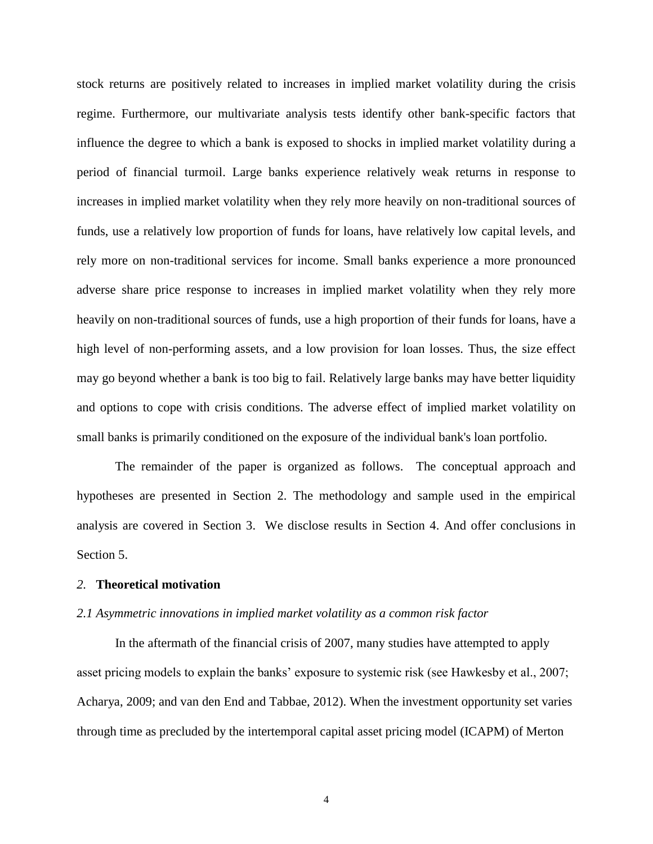stock returns are positively related to increases in implied market volatility during the crisis regime. Furthermore, our multivariate analysis tests identify other bank-specific factors that influence the degree to which a bank is exposed to shocks in implied market volatility during a period of financial turmoil. Large banks experience relatively weak returns in response to increases in implied market volatility when they rely more heavily on non-traditional sources of funds, use a relatively low proportion of funds for loans, have relatively low capital levels, and rely more on non-traditional services for income. Small banks experience a more pronounced adverse share price response to increases in implied market volatility when they rely more heavily on non-traditional sources of funds, use a high proportion of their funds for loans, have a high level of non-performing assets, and a low provision for loan losses. Thus, the size effect may go beyond whether a bank is too big to fail. Relatively large banks may have better liquidity and options to cope with crisis conditions. The adverse effect of implied market volatility on small banks is primarily conditioned on the exposure of the individual bank's loan portfolio.

The remainder of the paper is organized as follows. The conceptual approach and hypotheses are presented in Section 2. The methodology and sample used in the empirical analysis are covered in Section 3. We disclose results in Section 4. And offer conclusions in Section 5.

## *2.* **Theoretical motivation**

#### *2.1 Asymmetric innovations in implied market volatility as a common risk factor*

In the aftermath of the financial crisis of 2007, many studies have attempted to apply asset pricing models to explain the banks' exposure to systemic risk (see Hawkesby et al., 2007; Acharya, 2009; and van den End and Tabbae, 2012). When the investment opportunity set varies through time as precluded by the intertemporal capital asset pricing model (ICAPM) of Merton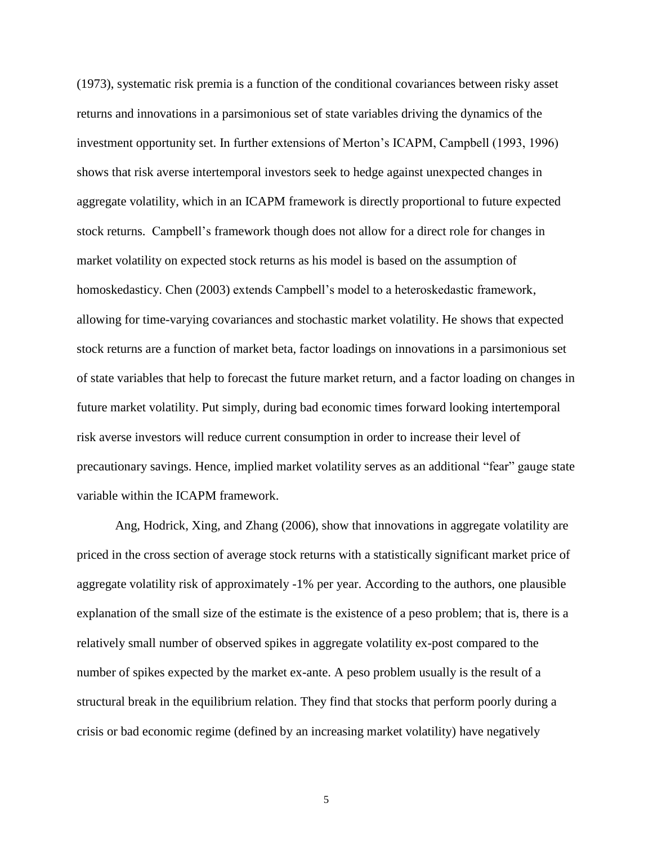(1973), systematic risk premia is a function of the conditional covariances between risky asset returns and innovations in a parsimonious set of state variables driving the dynamics of the investment opportunity set. In further extensions of Merton's ICAPM, Campbell (1993, 1996) shows that risk averse intertemporal investors seek to hedge against unexpected changes in aggregate volatility, which in an ICAPM framework is directly proportional to future expected stock returns. Campbell's framework though does not allow for a direct role for changes in market volatility on expected stock returns as his model is based on the assumption of homoskedasticy. Chen (2003) extends Campbell's model to a heteroskedastic framework, allowing for time-varying covariances and stochastic market volatility. He shows that expected stock returns are a function of market beta, factor loadings on innovations in a parsimonious set of state variables that help to forecast the future market return, and a factor loading on changes in future market volatility. Put simply, during bad economic times forward looking intertemporal risk averse investors will reduce current consumption in order to increase their level of precautionary savings. Hence, implied market volatility serves as an additional "fear" gauge state variable within the ICAPM framework.

Ang, Hodrick, Xing, and Zhang (2006), show that innovations in aggregate volatility are priced in the cross section of average stock returns with a statistically significant market price of aggregate volatility risk of approximately -1% per year. According to the authors, one plausible explanation of the small size of the estimate is the existence of a peso problem; that is, there is a relatively small number of observed spikes in aggregate volatility ex-post compared to the number of spikes expected by the market ex-ante. A peso problem usually is the result of a structural break in the equilibrium relation. They find that stocks that perform poorly during a crisis or bad economic regime (defined by an increasing market volatility) have negatively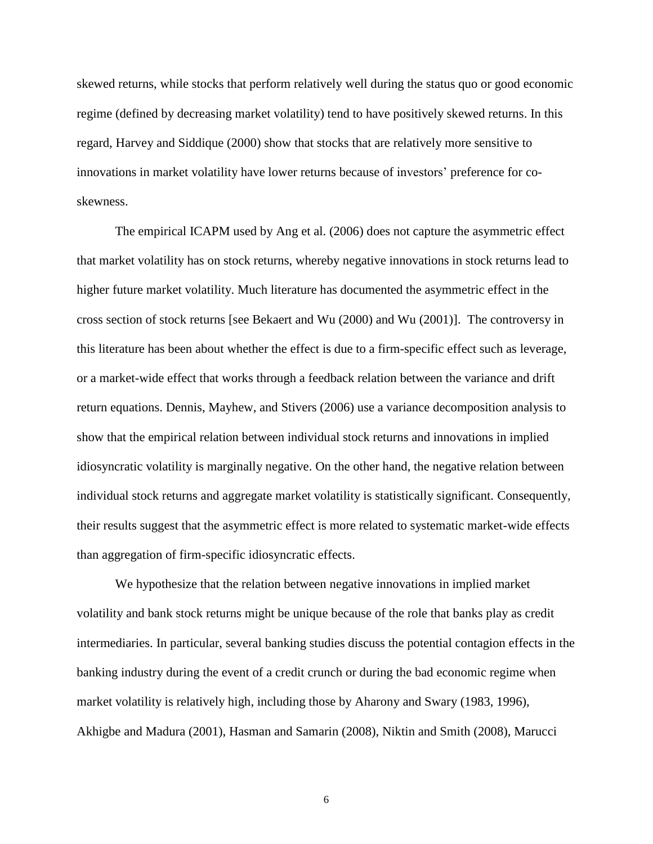skewed returns, while stocks that perform relatively well during the status quo or good economic regime (defined by decreasing market volatility) tend to have positively skewed returns. In this regard, Harvey and Siddique (2000) show that stocks that are relatively more sensitive to innovations in market volatility have lower returns because of investors' preference for coskewness.

The empirical ICAPM used by Ang et al. (2006) does not capture the asymmetric effect that market volatility has on stock returns, whereby negative innovations in stock returns lead to higher future market volatility. Much literature has documented the asymmetric effect in the cross section of stock returns [see Bekaert and Wu (2000) and Wu (2001)]. The controversy in this literature has been about whether the effect is due to a firm-specific effect such as leverage, or a market-wide effect that works through a feedback relation between the variance and drift return equations. Dennis, Mayhew, and Stivers (2006) use a variance decomposition analysis to show that the empirical relation between individual stock returns and innovations in implied idiosyncratic volatility is marginally negative. On the other hand, the negative relation between individual stock returns and aggregate market volatility is statistically significant. Consequently, their results suggest that the asymmetric effect is more related to systematic market-wide effects than aggregation of firm-specific idiosyncratic effects.

We hypothesize that the relation between negative innovations in implied market volatility and bank stock returns might be unique because of the role that banks play as credit intermediaries. In particular, several banking studies discuss the potential contagion effects in the banking industry during the event of a credit crunch or during the bad economic regime when market volatility is relatively high, including those by Aharony and Swary (1983, 1996), Akhigbe and Madura (2001), Hasman and Samarin (2008), Niktin and Smith (2008), Marucci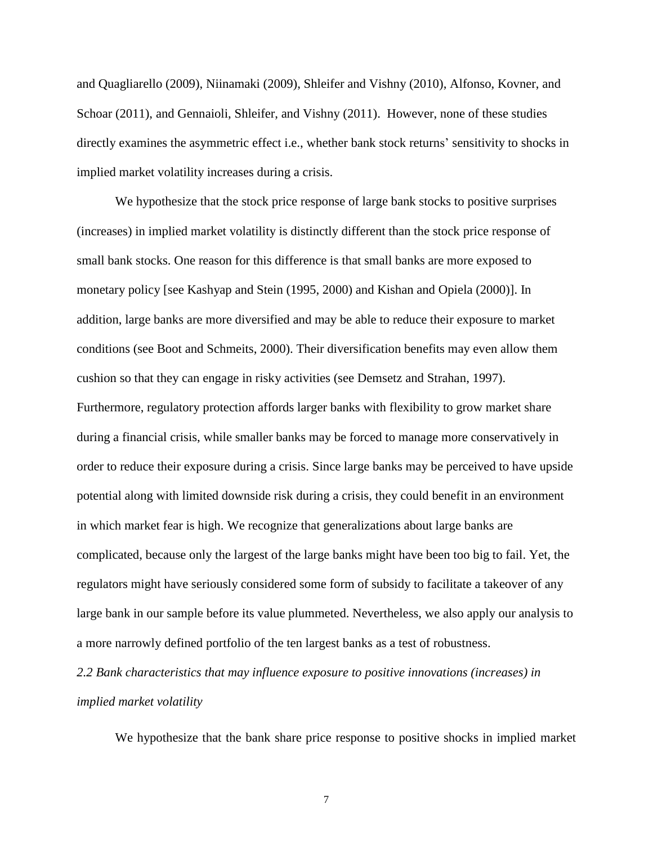and Quagliarello (2009), Niinamaki (2009), Shleifer and Vishny (2010), Alfonso, Kovner, and Schoar (2011), and Gennaioli, Shleifer, and Vishny (2011). However, none of these studies directly examines the asymmetric effect i.e., whether bank stock returns' sensitivity to shocks in implied market volatility increases during a crisis.

We hypothesize that the stock price response of large bank stocks to positive surprises (increases) in implied market volatility is distinctly different than the stock price response of small bank stocks. One reason for this difference is that small banks are more exposed to monetary policy [see Kashyap and Stein (1995, 2000) and Kishan and Opiela (2000)]. In addition, large banks are more diversified and may be able to reduce their exposure to market conditions (see Boot and Schmeits, 2000). Their diversification benefits may even allow them cushion so that they can engage in risky activities (see Demsetz and Strahan, 1997). Furthermore, regulatory protection affords larger banks with flexibility to grow market share during a financial crisis, while smaller banks may be forced to manage more conservatively in order to reduce their exposure during a crisis. Since large banks may be perceived to have upside potential along with limited downside risk during a crisis, they could benefit in an environment in which market fear is high. We recognize that generalizations about large banks are complicated, because only the largest of the large banks might have been too big to fail. Yet, the regulators might have seriously considered some form of subsidy to facilitate a takeover of any large bank in our sample before its value plummeted. Nevertheless, we also apply our analysis to a more narrowly defined portfolio of the ten largest banks as a test of robustness.

*2.2 Bank characteristics that may influence exposure to positive innovations (increases) in implied market volatility*

We hypothesize that the bank share price response to positive shocks in implied market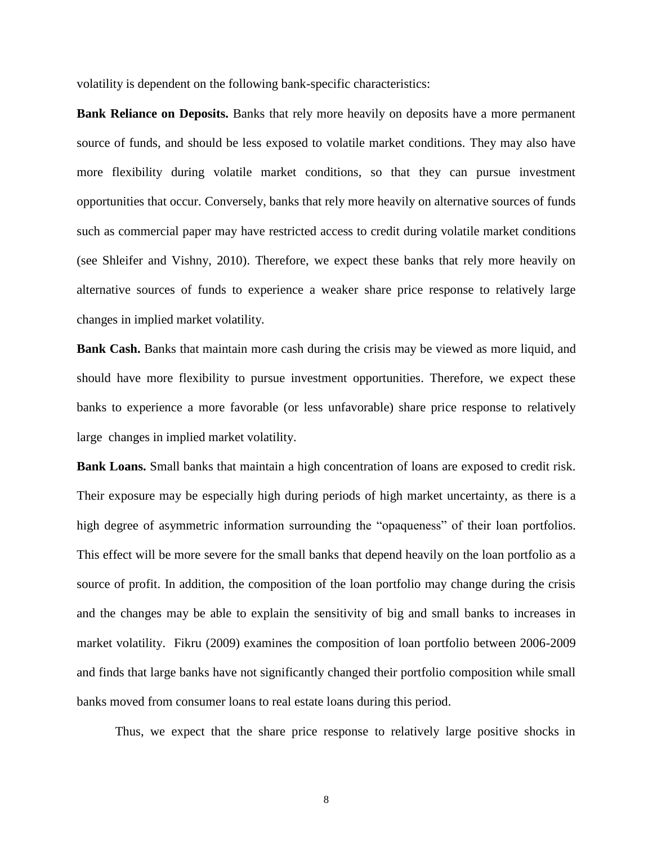volatility is dependent on the following bank-specific characteristics:

**Bank Reliance on Deposits.** Banks that rely more heavily on deposits have a more permanent source of funds, and should be less exposed to volatile market conditions. They may also have more flexibility during volatile market conditions, so that they can pursue investment opportunities that occur. Conversely, banks that rely more heavily on alternative sources of funds such as commercial paper may have restricted access to credit during volatile market conditions (see Shleifer and Vishny, 2010). Therefore, we expect these banks that rely more heavily on alternative sources of funds to experience a weaker share price response to relatively large changes in implied market volatility.

**Bank Cash.** Banks that maintain more cash during the crisis may be viewed as more liquid, and should have more flexibility to pursue investment opportunities. Therefore, we expect these banks to experience a more favorable (or less unfavorable) share price response to relatively large changes in implied market volatility.

**Bank Loans.** Small banks that maintain a high concentration of loans are exposed to credit risk. Their exposure may be especially high during periods of high market uncertainty, as there is a high degree of asymmetric information surrounding the "opaqueness" of their loan portfolios. This effect will be more severe for the small banks that depend heavily on the loan portfolio as a source of profit. In addition, the composition of the loan portfolio may change during the crisis and the changes may be able to explain the sensitivity of big and small banks to increases in market volatility. Fikru (2009) examines the composition of loan portfolio between 2006-2009 and finds that large banks have not significantly changed their portfolio composition while small banks moved from consumer loans to real estate loans during this period.

Thus, we expect that the share price response to relatively large positive shocks in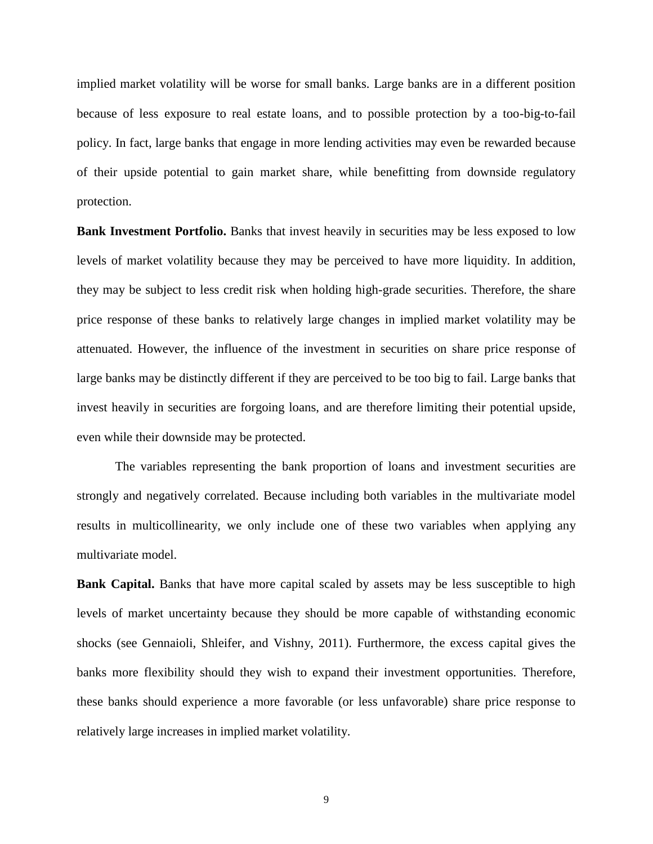implied market volatility will be worse for small banks. Large banks are in a different position because of less exposure to real estate loans, and to possible protection by a too-big-to-fail policy. In fact, large banks that engage in more lending activities may even be rewarded because of their upside potential to gain market share, while benefitting from downside regulatory protection.

**Bank Investment Portfolio.** Banks that invest heavily in securities may be less exposed to low levels of market volatility because they may be perceived to have more liquidity. In addition, they may be subject to less credit risk when holding high-grade securities. Therefore, the share price response of these banks to relatively large changes in implied market volatility may be attenuated. However, the influence of the investment in securities on share price response of large banks may be distinctly different if they are perceived to be too big to fail. Large banks that invest heavily in securities are forgoing loans, and are therefore limiting their potential upside, even while their downside may be protected.

The variables representing the bank proportion of loans and investment securities are strongly and negatively correlated. Because including both variables in the multivariate model results in multicollinearity, we only include one of these two variables when applying any multivariate model.

**Bank Capital.** Banks that have more capital scaled by assets may be less susceptible to high levels of market uncertainty because they should be more capable of withstanding economic shocks (see Gennaioli, Shleifer, and Vishny, 2011). Furthermore, the excess capital gives the banks more flexibility should they wish to expand their investment opportunities. Therefore, these banks should experience a more favorable (or less unfavorable) share price response to relatively large increases in implied market volatility.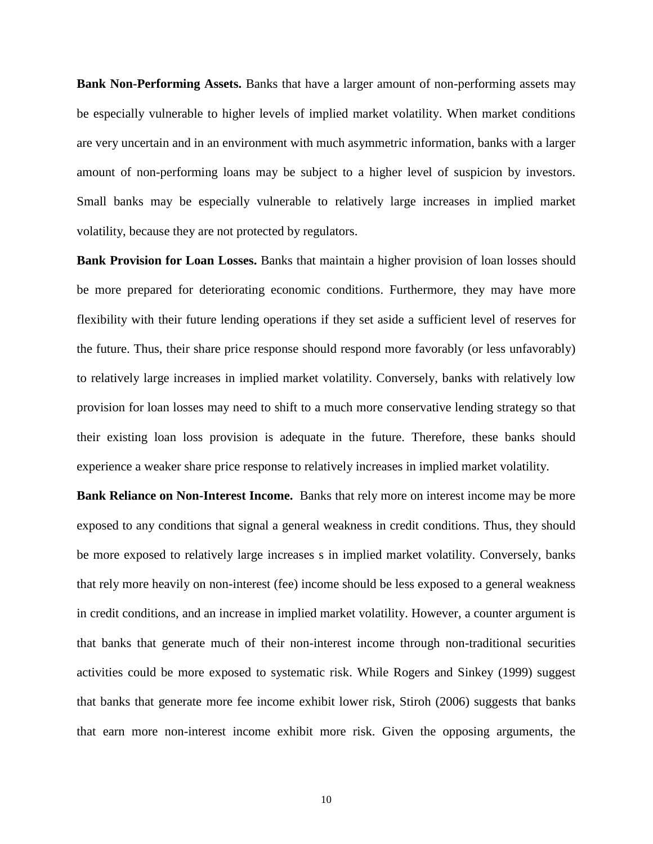**Bank Non-Performing Assets.** Banks that have a larger amount of non-performing assets may be especially vulnerable to higher levels of implied market volatility. When market conditions are very uncertain and in an environment with much asymmetric information, banks with a larger amount of non-performing loans may be subject to a higher level of suspicion by investors. Small banks may be especially vulnerable to relatively large increases in implied market volatility, because they are not protected by regulators.

**Bank Provision for Loan Losses.** Banks that maintain a higher provision of loan losses should be more prepared for deteriorating economic conditions. Furthermore, they may have more flexibility with their future lending operations if they set aside a sufficient level of reserves for the future. Thus, their share price response should respond more favorably (or less unfavorably) to relatively large increases in implied market volatility. Conversely, banks with relatively low provision for loan losses may need to shift to a much more conservative lending strategy so that their existing loan loss provision is adequate in the future. Therefore, these banks should experience a weaker share price response to relatively increases in implied market volatility.

**Bank Reliance on Non-Interest Income.** Banks that rely more on interest income may be more exposed to any conditions that signal a general weakness in credit conditions. Thus, they should be more exposed to relatively large increases s in implied market volatility. Conversely, banks that rely more heavily on non-interest (fee) income should be less exposed to a general weakness in credit conditions, and an increase in implied market volatility. However, a counter argument is that banks that generate much of their non-interest income through non-traditional securities activities could be more exposed to systematic risk. While Rogers and Sinkey (1999) suggest that banks that generate more fee income exhibit lower risk, Stiroh (2006) suggests that banks that earn more non-interest income exhibit more risk. Given the opposing arguments, the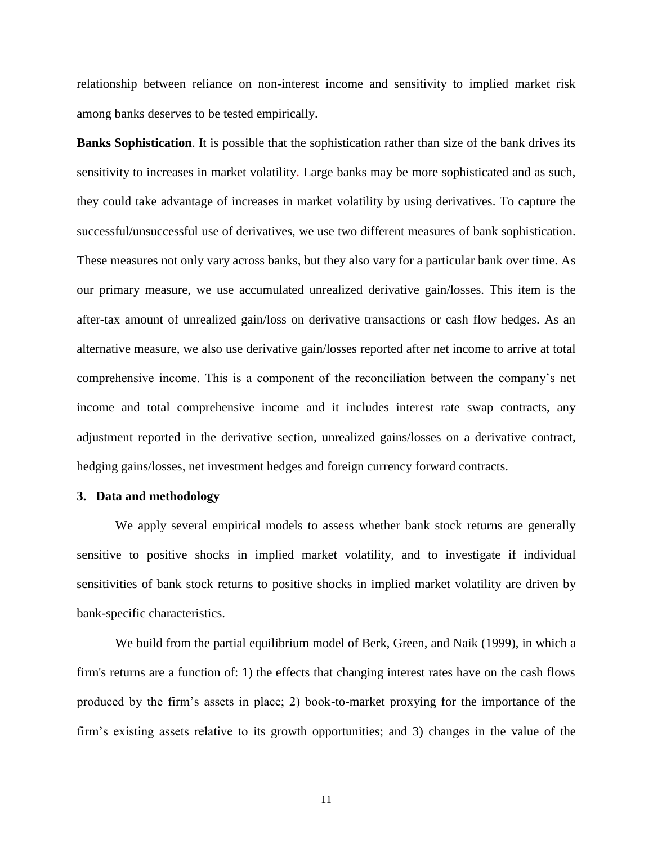relationship between reliance on non-interest income and sensitivity to implied market risk among banks deserves to be tested empirically.

**Banks Sophistication**. It is possible that the sophistication rather than size of the bank drives its sensitivity to increases in market volatility. Large banks may be more sophisticated and as such, they could take advantage of increases in market volatility by using derivatives. To capture the successful/unsuccessful use of derivatives, we use two different measures of bank sophistication. These measures not only vary across banks, but they also vary for a particular bank over time. As our primary measure, we use accumulated unrealized derivative gain/losses. This item is the after-tax amount of unrealized gain/loss on derivative transactions or cash flow hedges. As an alternative measure, we also use derivative gain/losses reported after net income to arrive at total comprehensive income. This is a component of the reconciliation between the company's net income and total comprehensive income and it includes interest rate swap contracts, any adjustment reported in the derivative section, unrealized gains/losses on a derivative contract, hedging gains/losses, net investment hedges and foreign currency forward contracts.

## **3. Data and methodology**

We apply several empirical models to assess whether bank stock returns are generally sensitive to positive shocks in implied market volatility, and to investigate if individual sensitivities of bank stock returns to positive shocks in implied market volatility are driven by bank-specific characteristics.

We build from the partial equilibrium model of Berk, Green, and Naik (1999), in which a firm's returns are a function of: 1) the effects that changing interest rates have on the cash flows produced by the firm's assets in place; 2) book-to-market proxying for the importance of the firm's existing assets relative to its growth opportunities; and 3) changes in the value of the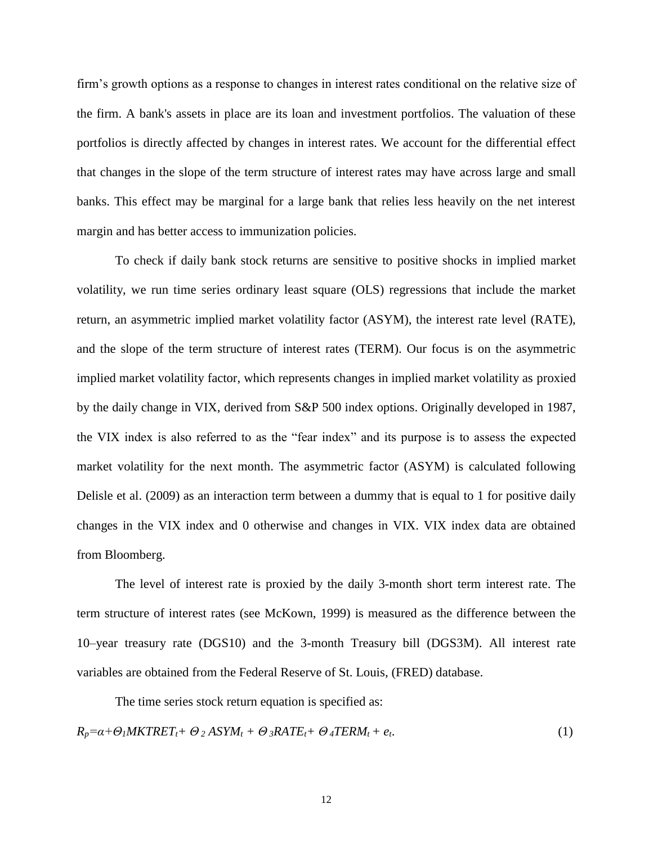firm's growth options as a response to changes in interest rates conditional on the relative size of the firm. A bank's assets in place are its loan and investment portfolios. The valuation of these portfolios is directly affected by changes in interest rates. We account for the differential effect that changes in the slope of the term structure of interest rates may have across large and small banks. This effect may be marginal for a large bank that relies less heavily on the net interest margin and has better access to immunization policies.

To check if daily bank stock returns are sensitive to positive shocks in implied market volatility, we run time series ordinary least square (OLS) regressions that include the market return, an asymmetric implied market volatility factor (ASYM), the interest rate level (RATE), and the slope of the term structure of interest rates (TERM). Our focus is on the asymmetric implied market volatility factor, which represents changes in implied market volatility as proxied by the daily change in VIX, derived from S&P 500 index options. Originally developed in 1987, the VIX index is also referred to as the "fear index" and its purpose is to assess the expected market volatility for the next month. The asymmetric factor (ASYM) is calculated following Delisle et al. (2009) as an interaction term between a dummy that is equal to 1 for positive daily changes in the VIX index and 0 otherwise and changes in VIX. VIX index data are obtained from Bloomberg.

The level of interest rate is proxied by the daily 3-month short term interest rate. The term structure of interest rates (see McKown, 1999) is measured as the difference between the 10–year treasury rate (DGS10) and the 3-month Treasury bill (DGS3M). All interest rate variables are obtained from the Federal Reserve of St. Louis, (FRED) database.

The time series stock return equation is specified as:

$$
R_p = \alpha + \Theta_1 MKTRET_t + \Theta_2 ASYM_t + \Theta_3 RATE_t + \Theta_4 TERM_t + e_t.
$$
\n(1)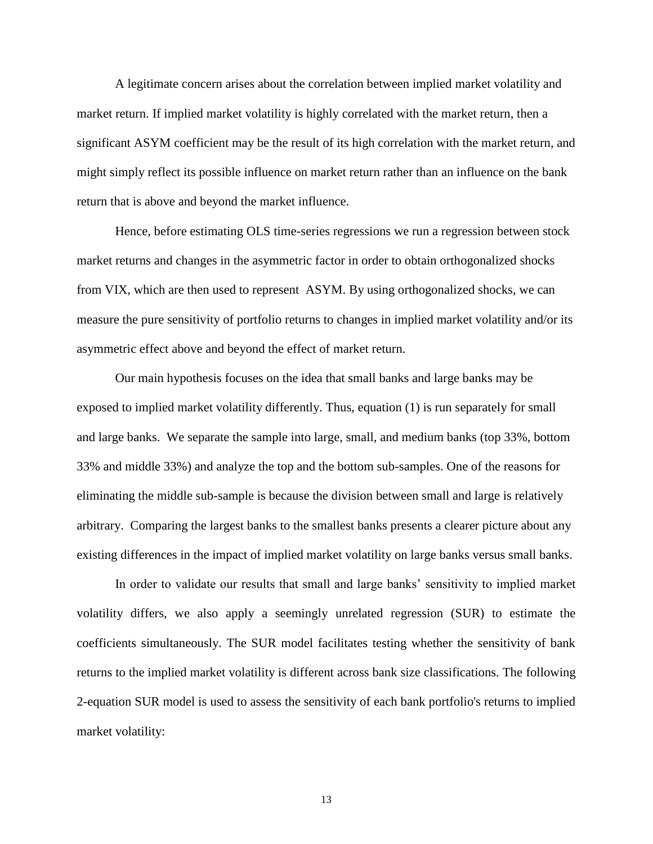A legitimate concern arises about the correlation between implied market volatility and market return. If implied market volatility is highly correlated with the market return, then a significant ASYM coefficient may be the result of its high correlation with the market return, and might simply reflect its possible influence on market return rather than an influence on the bank return that is above and beyond the market influence.

Hence, before estimating OLS time-series regressions we run a regression between stock market returns and changes in the asymmetric factor in order to obtain orthogonalized shocks from VIX, which are then used to represent ASYM. By using orthogonalized shocks, we can measure the pure sensitivity of portfolio returns to changes in implied market volatility and/or its asymmetric effect above and beyond the effect of market return.

Our main hypothesis focuses on the idea that small banks and large banks may be exposed to implied market volatility differently. Thus, equation (1) is run separately for small and large banks. We separate the sample into large, small, and medium banks (top 33%, bottom 33% and middle 33%) and analyze the top and the bottom sub-samples. One of the reasons for eliminating the middle sub-sample is because the division between small and large is relatively arbitrary. Comparing the largest banks to the smallest banks presents a clearer picture about any existing differences in the impact of implied market volatility on large banks versus small banks.

In order to validate our results that small and large banks' sensitivity to implied market volatility differs, we also apply a seemingly unrelated regression (SUR) to estimate the coefficients simultaneously. The SUR model facilitates testing whether the sensitivity of bank returns to the implied market volatility is different across bank size classifications. The following 2-equation SUR model is used to assess the sensitivity of each bank portfolio's returns to implied market volatility: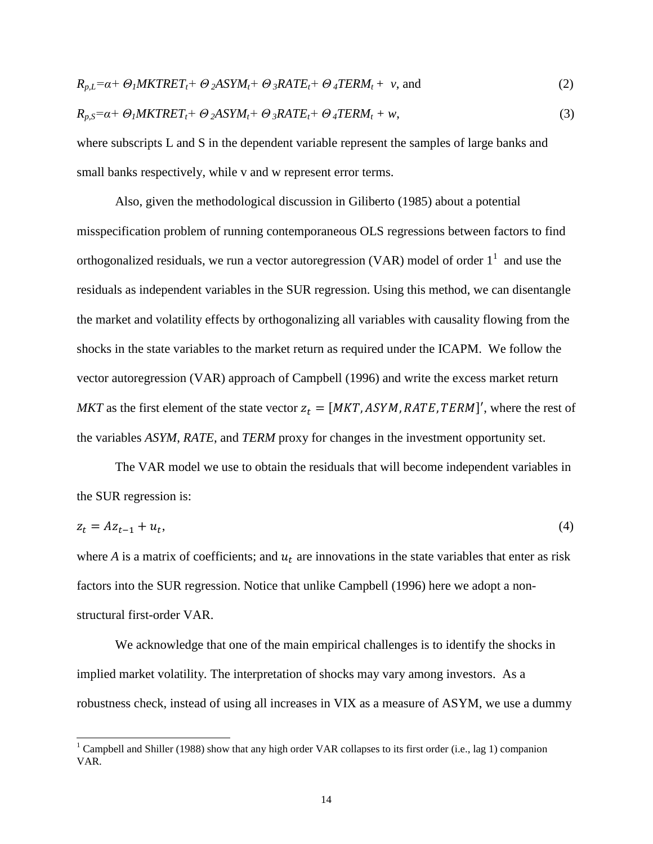$$
R_{p,L} = \alpha + \Theta_1 MKTRET_t + \Theta_2 ASYM_t + \Theta_3 RATE_t + \Theta_4 TERM_t + \nu, \text{ and}
$$
\n(2)

$$
R_{p,S} = \alpha + \Theta_1 MKTRET_t + \Theta_2 ASYM_t + \Theta_3 RATE_t + \Theta_4 TERM_t + w,
$$
\n(3)

where subscripts L and S in the dependent variable represent the samples of large banks and small banks respectively, while v and w represent error terms.

Also, given the methodological discussion in Giliberto (1985) about a potential misspecification problem of running contemporaneous OLS regressions between factors to find orthogonalized residuals, we run a vector autoregression (VAR) model of order  $1<sup>1</sup>$  and use the residuals as independent variables in the SUR regression. Using this method, we can disentangle the market and volatility effects by orthogonalizing all variables with causality flowing from the shocks in the state variables to the market return as required under the ICAPM. We follow the vector autoregression (VAR) approach of Campbell (1996) and write the excess market return *MKT* as the first element of the state vector  $z_t = [MKT, ASYM, RATE, TERM]$ , where the rest of the variables *ASYM*, *RATE*, and *TERM* proxy for changes in the investment opportunity set.

The VAR model we use to obtain the residuals that will become independent variables in the SUR regression is:

$$
z_t = Az_{t-1} + u_t,\tag{4}
$$

where *A* is a matrix of coefficients; and  $u_t$  are innovations in the state variables that enter as risk factors into the SUR regression. Notice that unlike Campbell (1996) here we adopt a nonstructural first-order VAR.

We acknowledge that one of the main empirical challenges is to identify the shocks in implied market volatility. The interpretation of shocks may vary among investors. As a robustness check, instead of using all increases in VIX as a measure of ASYM, we use a dummy

 $\overline{a}$ 

<sup>&</sup>lt;sup>1</sup> Campbell and Shiller (1988) show that any high order VAR collapses to its first order (i.e., lag 1) companion VAR.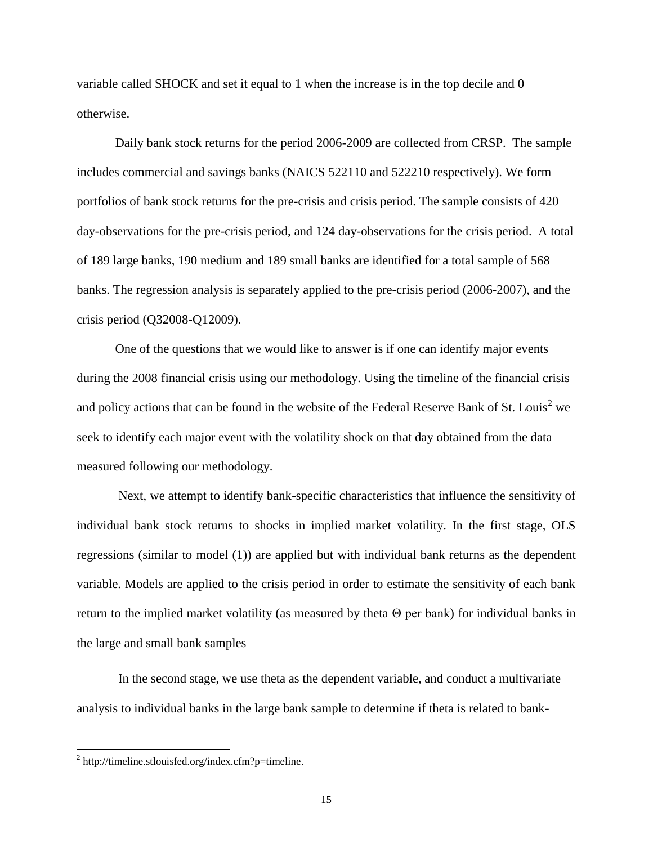variable called SHOCK and set it equal to 1 when the increase is in the top decile and 0 otherwise.

Daily bank stock returns for the period 2006-2009 are collected from CRSP. The sample includes commercial and savings banks (NAICS 522110 and 522210 respectively). We form portfolios of bank stock returns for the pre-crisis and crisis period. The sample consists of 420 day-observations for the pre-crisis period, and 124 day-observations for the crisis period. A total of 189 large banks, 190 medium and 189 small banks are identified for a total sample of 568 banks. The regression analysis is separately applied to the pre-crisis period (2006-2007), and the crisis period (Q32008-Q12009).

One of the questions that we would like to answer is if one can identify major events during the 2008 financial crisis using our methodology. Using the timeline of the financial crisis and policy actions that can be found in the website of the Federal Reserve Bank of St. Louis<sup>2</sup> we seek to identify each major event with the volatility shock on that day obtained from the data measured following our methodology.

Next, we attempt to identify bank-specific characteristics that influence the sensitivity of individual bank stock returns to shocks in implied market volatility. In the first stage, OLS regressions (similar to model (1)) are applied but with individual bank returns as the dependent variable. Models are applied to the crisis period in order to estimate the sensitivity of each bank return to the implied market volatility (as measured by theta  $\Theta$  per bank) for individual banks in the large and small bank samples

In the second stage, we use theta as the dependent variable, and conduct a multivariate analysis to individual banks in the large bank sample to determine if theta is related to bank-

l

 $2^2$  [http://timeline.stlouisfed.org/index.cfm?p=timeline.](http://timeline.stlouisfed.org/index.cfm?p=timeline)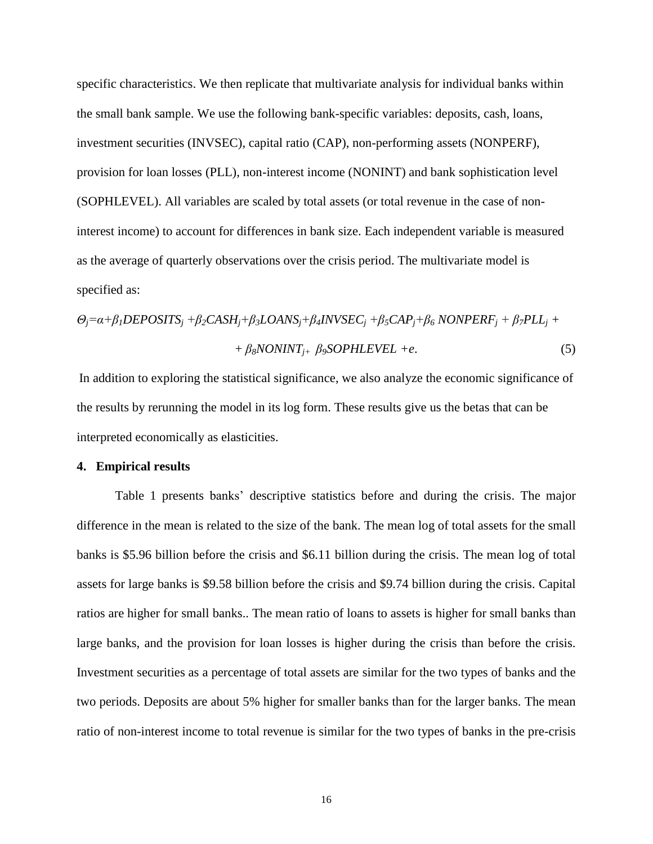specific characteristics. We then replicate that multivariate analysis for individual banks within the small bank sample. We use the following bank-specific variables: deposits, cash, loans, investment securities (INVSEC), capital ratio (CAP), non-performing assets (NONPERF), provision for loan losses (PLL), non-interest income (NONINT) and bank sophistication level (SOPHLEVEL). All variables are scaled by total assets (or total revenue in the case of noninterest income) to account for differences in bank size. Each independent variable is measured as the average of quarterly observations over the crisis period. The multivariate model is specified as:

$$
\Theta_j = \alpha + \beta_1 DEPOSITS_j + \beta_2 CASH_j + \beta_3 LOANS_j + \beta_4 INVSEC_j + \beta_5 CAP_j + \beta_6 NONPERF_j + \beta_7 PLL_j +
$$
  
+  $\beta_8 NONINT_{j+} \beta_9 SOPHLEVEL + e.$  (5)

In addition to exploring the statistical significance, we also analyze the economic significance of the results by rerunning the model in its log form. These results give us the betas that can be interpreted economically as elasticities.

#### **4. Empirical results**

Table 1 presents banks' descriptive statistics before and during the crisis. The major difference in the mean is related to the size of the bank. The mean log of total assets for the small banks is \$5.96 billion before the crisis and \$6.11 billion during the crisis. The mean log of total assets for large banks is \$9.58 billion before the crisis and \$9.74 billion during the crisis. Capital ratios are higher for small banks.. The mean ratio of loans to assets is higher for small banks than large banks, and the provision for loan losses is higher during the crisis than before the crisis. Investment securities as a percentage of total assets are similar for the two types of banks and the two periods. Deposits are about 5% higher for smaller banks than for the larger banks. The mean ratio of non-interest income to total revenue is similar for the two types of banks in the pre-crisis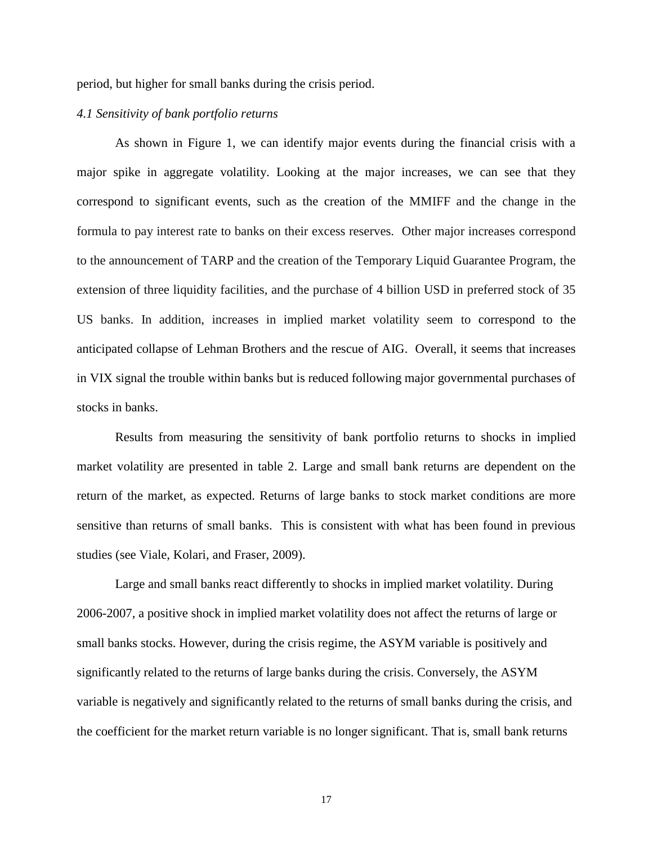period, but higher for small banks during the crisis period.

## *4.1 Sensitivity of bank portfolio returns*

As shown in Figure 1, we can identify major events during the financial crisis with a major spike in aggregate volatility. Looking at the major increases, we can see that they correspond to significant events, such as the creation of the MMIFF and the change in the formula to pay interest rate to banks on their excess reserves. Other major increases correspond to the announcement of TARP and the creation of the Temporary Liquid Guarantee Program, the extension of three liquidity facilities, and the purchase of 4 billion USD in preferred stock of 35 US banks. In addition, increases in implied market volatility seem to correspond to the anticipated collapse of Lehman Brothers and the rescue of AIG. Overall, it seems that increases in VIX signal the trouble within banks but is reduced following major governmental purchases of stocks in banks.

Results from measuring the sensitivity of bank portfolio returns to shocks in implied market volatility are presented in table 2. Large and small bank returns are dependent on the return of the market, as expected. Returns of large banks to stock market conditions are more sensitive than returns of small banks. This is consistent with what has been found in previous studies (see Viale, Kolari, and Fraser, 2009).

Large and small banks react differently to shocks in implied market volatility. During 2006-2007, a positive shock in implied market volatility does not affect the returns of large or small banks stocks. However, during the crisis regime, the ASYM variable is positively and significantly related to the returns of large banks during the crisis. Conversely, the ASYM variable is negatively and significantly related to the returns of small banks during the crisis, and the coefficient for the market return variable is no longer significant. That is, small bank returns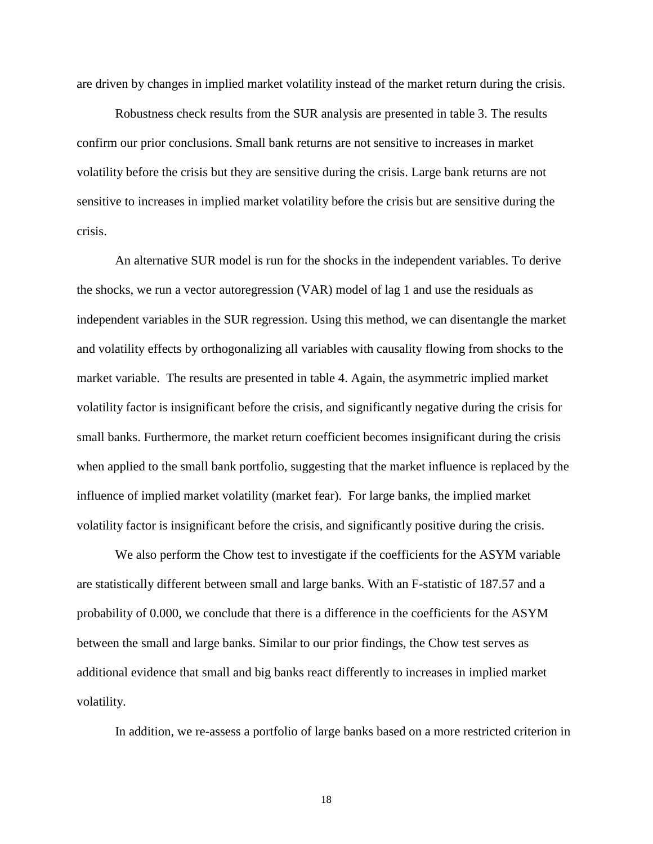are driven by changes in implied market volatility instead of the market return during the crisis.

Robustness check results from the SUR analysis are presented in table 3. The results confirm our prior conclusions. Small bank returns are not sensitive to increases in market volatility before the crisis but they are sensitive during the crisis. Large bank returns are not sensitive to increases in implied market volatility before the crisis but are sensitive during the crisis.

An alternative SUR model is run for the shocks in the independent variables. To derive the shocks, we run a vector autoregression (VAR) model of lag 1 and use the residuals as independent variables in the SUR regression. Using this method, we can disentangle the market and volatility effects by orthogonalizing all variables with causality flowing from shocks to the market variable. The results are presented in table 4. Again, the asymmetric implied market volatility factor is insignificant before the crisis, and significantly negative during the crisis for small banks. Furthermore, the market return coefficient becomes insignificant during the crisis when applied to the small bank portfolio, suggesting that the market influence is replaced by the influence of implied market volatility (market fear). For large banks, the implied market volatility factor is insignificant before the crisis, and significantly positive during the crisis.

We also perform the Chow test to investigate if the coefficients for the ASYM variable are statistically different between small and large banks. With an F-statistic of 187.57 and a probability of 0.000, we conclude that there is a difference in the coefficients for the ASYM between the small and large banks. Similar to our prior findings, the Chow test serves as additional evidence that small and big banks react differently to increases in implied market volatility.

In addition, we re-assess a portfolio of large banks based on a more restricted criterion in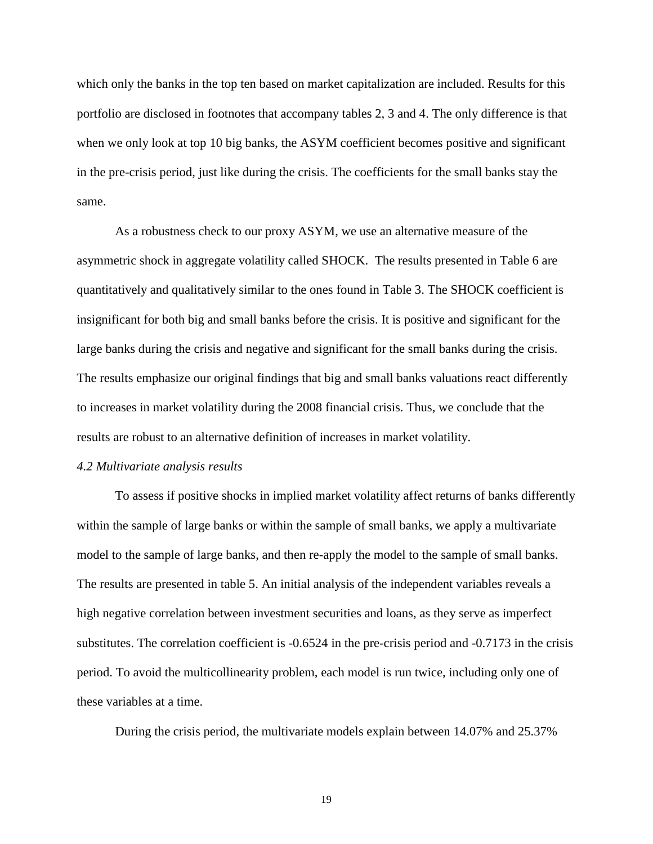which only the banks in the top ten based on market capitalization are included. Results for this portfolio are disclosed in footnotes that accompany tables 2, 3 and 4. The only difference is that when we only look at top 10 big banks, the ASYM coefficient becomes positive and significant in the pre-crisis period, just like during the crisis. The coefficients for the small banks stay the same.

As a robustness check to our proxy ASYM, we use an alternative measure of the asymmetric shock in aggregate volatility called SHOCK. The results presented in Table 6 are quantitatively and qualitatively similar to the ones found in Table 3. The SHOCK coefficient is insignificant for both big and small banks before the crisis. It is positive and significant for the large banks during the crisis and negative and significant for the small banks during the crisis. The results emphasize our original findings that big and small banks valuations react differently to increases in market volatility during the 2008 financial crisis. Thus, we conclude that the results are robust to an alternative definition of increases in market volatility.

## *4.2 Multivariate analysis results*

To assess if positive shocks in implied market volatility affect returns of banks differently within the sample of large banks or within the sample of small banks, we apply a multivariate model to the sample of large banks, and then re-apply the model to the sample of small banks. The results are presented in table 5. An initial analysis of the independent variables reveals a high negative correlation between investment securities and loans, as they serve as imperfect substitutes. The correlation coefficient is -0.6524 in the pre-crisis period and -0.7173 in the crisis period. To avoid the multicollinearity problem, each model is run twice, including only one of these variables at a time.

During the crisis period, the multivariate models explain between 14.07% and 25.37%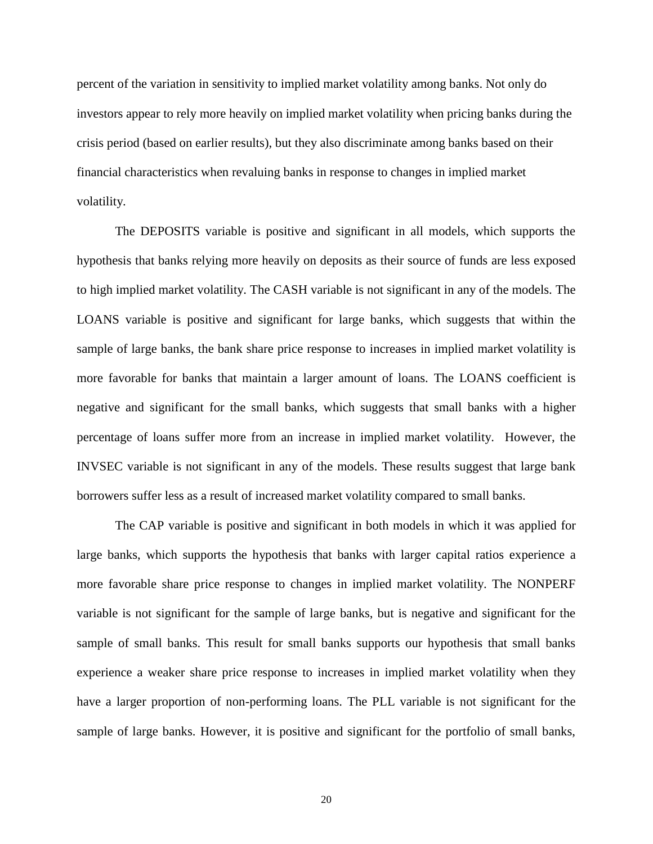percent of the variation in sensitivity to implied market volatility among banks. Not only do investors appear to rely more heavily on implied market volatility when pricing banks during the crisis period (based on earlier results), but they also discriminate among banks based on their financial characteristics when revaluing banks in response to changes in implied market volatility.

The DEPOSITS variable is positive and significant in all models, which supports the hypothesis that banks relying more heavily on deposits as their source of funds are less exposed to high implied market volatility. The CASH variable is not significant in any of the models. The LOANS variable is positive and significant for large banks, which suggests that within the sample of large banks, the bank share price response to increases in implied market volatility is more favorable for banks that maintain a larger amount of loans. The LOANS coefficient is negative and significant for the small banks, which suggests that small banks with a higher percentage of loans suffer more from an increase in implied market volatility. However, the INVSEC variable is not significant in any of the models. These results suggest that large bank borrowers suffer less as a result of increased market volatility compared to small banks.

The CAP variable is positive and significant in both models in which it was applied for large banks, which supports the hypothesis that banks with larger capital ratios experience a more favorable share price response to changes in implied market volatility. The NONPERF variable is not significant for the sample of large banks, but is negative and significant for the sample of small banks. This result for small banks supports our hypothesis that small banks experience a weaker share price response to increases in implied market volatility when they have a larger proportion of non-performing loans. The PLL variable is not significant for the sample of large banks. However, it is positive and significant for the portfolio of small banks,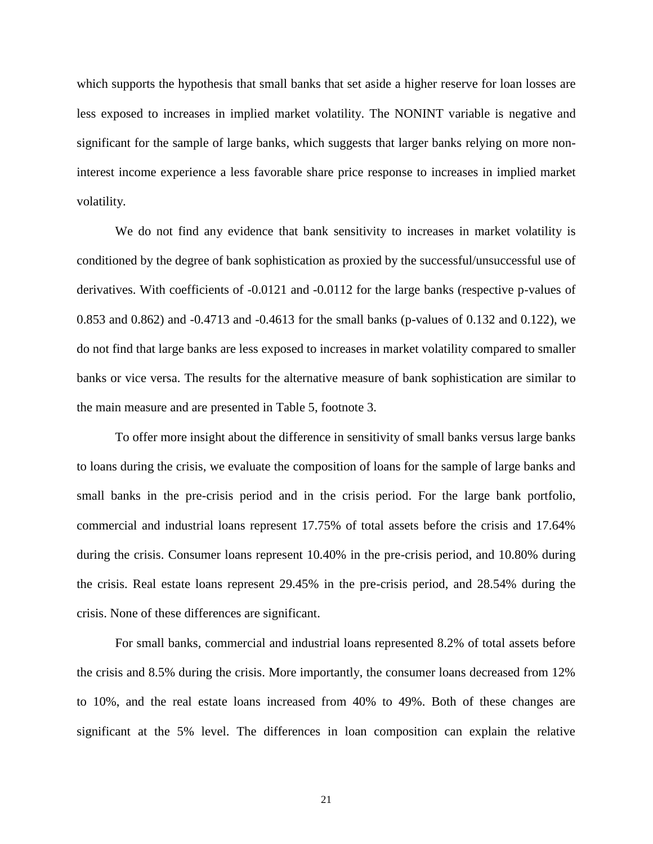which supports the hypothesis that small banks that set aside a higher reserve for loan losses are less exposed to increases in implied market volatility. The NONINT variable is negative and significant for the sample of large banks, which suggests that larger banks relying on more noninterest income experience a less favorable share price response to increases in implied market volatility.

We do not find any evidence that bank sensitivity to increases in market volatility is conditioned by the degree of bank sophistication as proxied by the successful/unsuccessful use of derivatives. With coefficients of -0.0121 and -0.0112 for the large banks (respective p-values of 0.853 and 0.862) and -0.4713 and -0.4613 for the small banks (p-values of 0.132 and 0.122), we do not find that large banks are less exposed to increases in market volatility compared to smaller banks or vice versa. The results for the alternative measure of bank sophistication are similar to the main measure and are presented in Table 5, footnote 3.

To offer more insight about the difference in sensitivity of small banks versus large banks to loans during the crisis, we evaluate the composition of loans for the sample of large banks and small banks in the pre-crisis period and in the crisis period. For the large bank portfolio, commercial and industrial loans represent 17.75% of total assets before the crisis and 17.64% during the crisis. Consumer loans represent 10.40% in the pre-crisis period, and 10.80% during the crisis. Real estate loans represent 29.45% in the pre-crisis period, and 28.54% during the crisis. None of these differences are significant.

For small banks, commercial and industrial loans represented 8.2% of total assets before the crisis and 8.5% during the crisis. More importantly, the consumer loans decreased from 12% to 10%, and the real estate loans increased from 40% to 49%. Both of these changes are significant at the 5% level. The differences in loan composition can explain the relative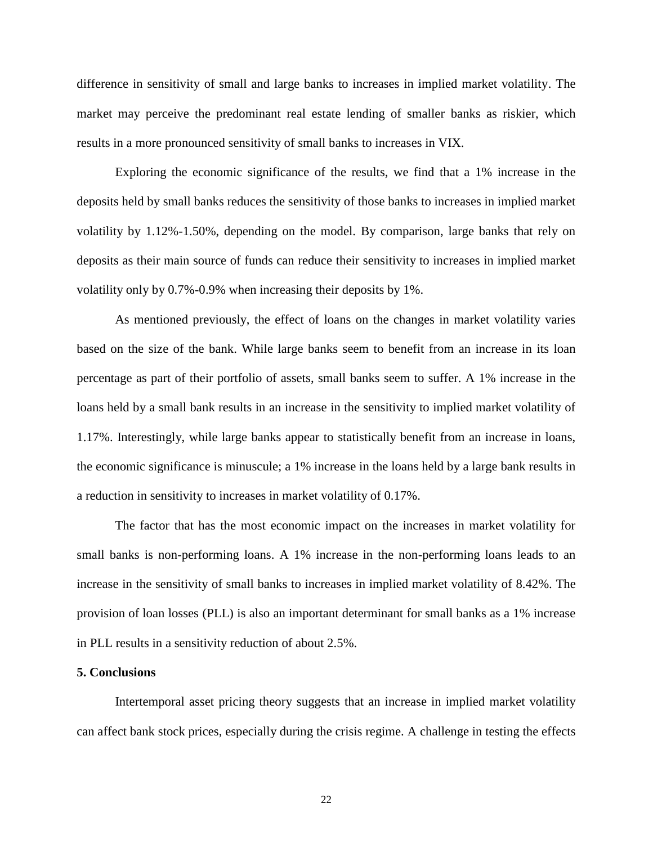difference in sensitivity of small and large banks to increases in implied market volatility. The market may perceive the predominant real estate lending of smaller banks as riskier, which results in a more pronounced sensitivity of small banks to increases in VIX.

Exploring the economic significance of the results, we find that a 1% increase in the deposits held by small banks reduces the sensitivity of those banks to increases in implied market volatility by 1.12%-1.50%, depending on the model. By comparison, large banks that rely on deposits as their main source of funds can reduce their sensitivity to increases in implied market volatility only by 0.7%-0.9% when increasing their deposits by 1%.

As mentioned previously, the effect of loans on the changes in market volatility varies based on the size of the bank. While large banks seem to benefit from an increase in its loan percentage as part of their portfolio of assets, small banks seem to suffer. A 1% increase in the loans held by a small bank results in an increase in the sensitivity to implied market volatility of 1.17%. Interestingly, while large banks appear to statistically benefit from an increase in loans, the economic significance is minuscule; a 1% increase in the loans held by a large bank results in a reduction in sensitivity to increases in market volatility of 0.17%.

The factor that has the most economic impact on the increases in market volatility for small banks is non-performing loans. A 1% increase in the non-performing loans leads to an increase in the sensitivity of small banks to increases in implied market volatility of 8.42%. The provision of loan losses (PLL) is also an important determinant for small banks as a 1% increase in PLL results in a sensitivity reduction of about 2.5%.

#### **5. Conclusions**

Intertemporal asset pricing theory suggests that an increase in implied market volatility can affect bank stock prices, especially during the crisis regime. A challenge in testing the effects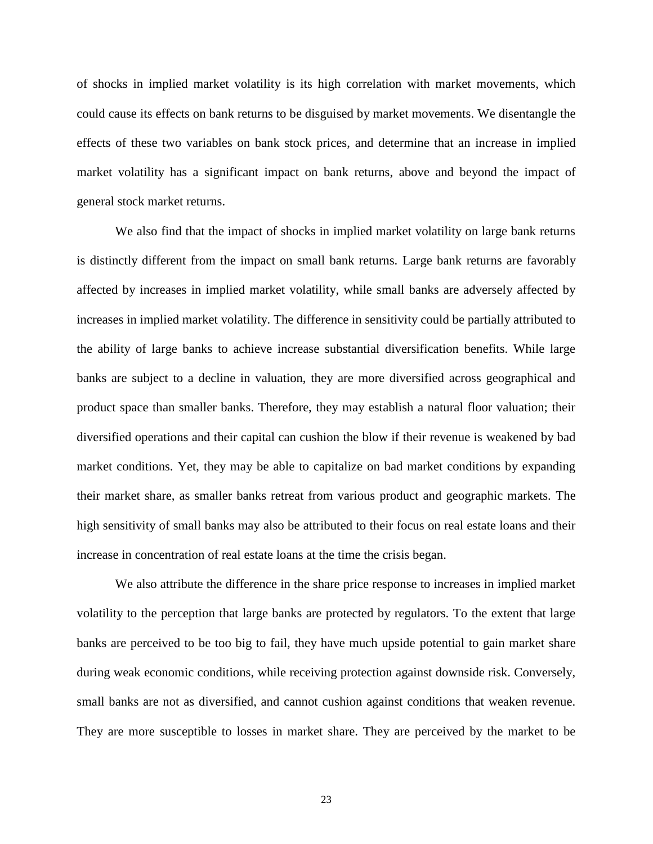of shocks in implied market volatility is its high correlation with market movements, which could cause its effects on bank returns to be disguised by market movements. We disentangle the effects of these two variables on bank stock prices, and determine that an increase in implied market volatility has a significant impact on bank returns, above and beyond the impact of general stock market returns.

We also find that the impact of shocks in implied market volatility on large bank returns is distinctly different from the impact on small bank returns. Large bank returns are favorably affected by increases in implied market volatility, while small banks are adversely affected by increases in implied market volatility. The difference in sensitivity could be partially attributed to the ability of large banks to achieve increase substantial diversification benefits. While large banks are subject to a decline in valuation, they are more diversified across geographical and product space than smaller banks. Therefore, they may establish a natural floor valuation; their diversified operations and their capital can cushion the blow if their revenue is weakened by bad market conditions. Yet, they may be able to capitalize on bad market conditions by expanding their market share, as smaller banks retreat from various product and geographic markets. The high sensitivity of small banks may also be attributed to their focus on real estate loans and their increase in concentration of real estate loans at the time the crisis began.

We also attribute the difference in the share price response to increases in implied market volatility to the perception that large banks are protected by regulators. To the extent that large banks are perceived to be too big to fail, they have much upside potential to gain market share during weak economic conditions, while receiving protection against downside risk. Conversely, small banks are not as diversified, and cannot cushion against conditions that weaken revenue. They are more susceptible to losses in market share. They are perceived by the market to be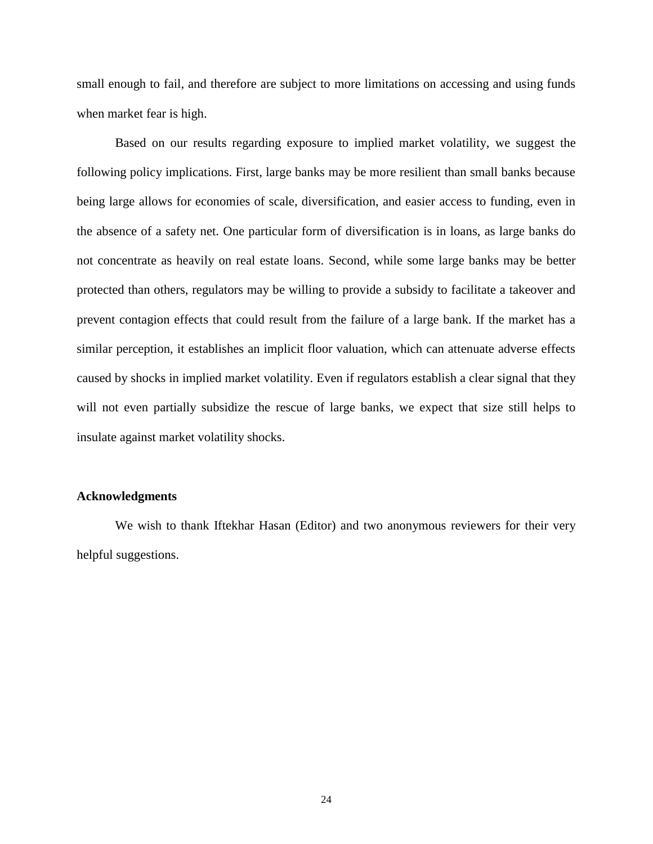small enough to fail, and therefore are subject to more limitations on accessing and using funds when market fear is high.

Based on our results regarding exposure to implied market volatility, we suggest the following policy implications. First, large banks may be more resilient than small banks because being large allows for economies of scale, diversification, and easier access to funding, even in the absence of a safety net. One particular form of diversification is in loans, as large banks do not concentrate as heavily on real estate loans. Second, while some large banks may be better protected than others, regulators may be willing to provide a subsidy to facilitate a takeover and prevent contagion effects that could result from the failure of a large bank. If the market has a similar perception, it establishes an implicit floor valuation, which can attenuate adverse effects caused by shocks in implied market volatility. Even if regulators establish a clear signal that they will not even partially subsidize the rescue of large banks, we expect that size still helps to insulate against market volatility shocks.

## **Acknowledgments**

We wish to thank Iftekhar Hasan (Editor) and two anonymous reviewers for their very helpful suggestions.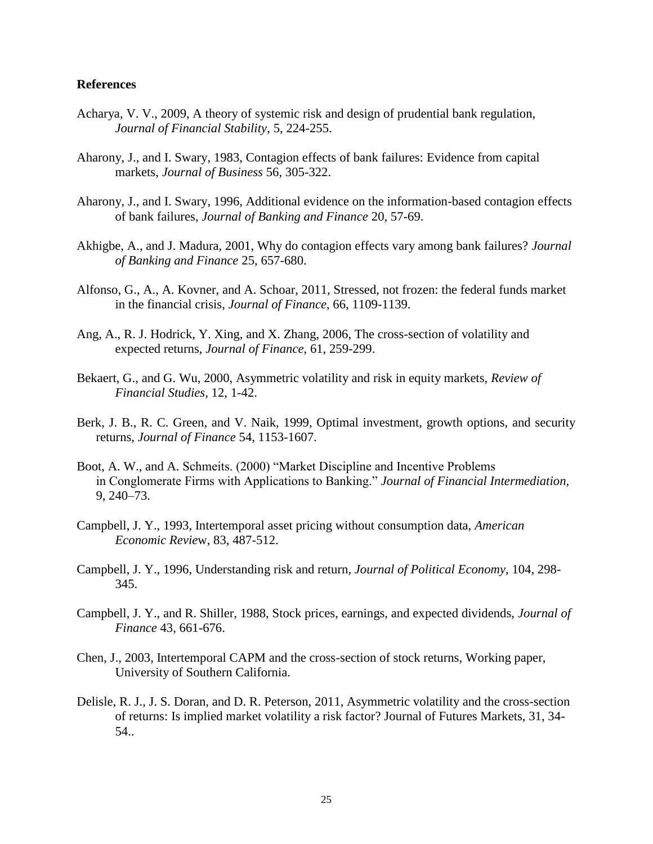## **References**

- Acharya, V. V., 2009, A theory of systemic risk and design of prudential bank regulation, *Journal of Financial Stability*, 5, 224-255.
- Aharony, J., and I. Swary, 1983, Contagion effects of bank failures: Evidence from capital markets, *Journal of Business* 56, 305-322.
- Aharony, J., and I. Swary, 1996, Additional evidence on the information-based contagion effects of bank failures, *Journal of Banking and Finance* 20, 57-69.
- Akhigbe, A., and J. Madura, 2001, Why do contagion effects vary among bank failures? *Journal of Banking and Finance* 25, 657-680.
- Alfonso, G., A., A. Kovner, and A. Schoar, 2011, Stressed, not frozen: the federal funds market in the financial crisis, *Journal of Finance*, 66, 1109-1139.
- Ang, A., R. J. Hodrick, Y. Xing, and X. Zhang, 2006, The cross-section of volatility and expected returns, *Journal of Finance*, 61, 259-299.
- Bekaert, G., and G. Wu, 2000, Asymmetric volatility and risk in equity markets, *Review of Financial Studies*, 12, 1-42.
- Berk, J. B., R. C. Green, and V. Naik, 1999, Optimal investment, growth options, and security returns, *Journal of Finance* 54, 1153-1607.
- Boot, A. W., and A. Schmeits. (2000) "Market Discipline and Incentive Problems in Conglomerate Firms with Applications to Banking." *Journal of Financial Intermediation,* 9, 240–73.
- Campbell, J. Y., 1993, Intertemporal asset pricing without consumption data, *American Economic Revie*w, 83, 487-512.
- Campbell, J. Y., 1996, Understanding risk and return, *Journal of Political Economy*, 104, 298- 345.
- Campbell, J. Y., and R. Shiller, 1988, Stock prices, earnings, and expected dividends, *Journal of Finance* 43, 661-676.
- Chen, J., 2003, Intertemporal CAPM and the cross-section of stock returns, Working paper, University of Southern California.
- Delisle, R. J., J. S. Doran, and D. R. Peterson, 2011, Asymmetric volatility and the cross-section of returns: Is implied market volatility a risk factor? Journal of Futures Markets, 31, 34- 54..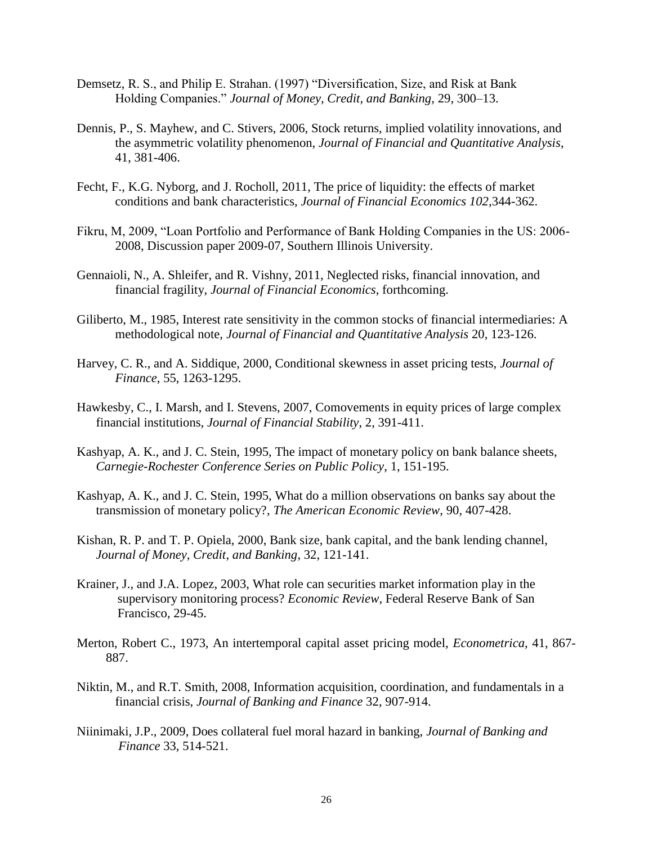- Demsetz, R. S., and Philip E. Strahan. (1997) "Diversification, Size, and Risk at Bank Holding Companies." *Journal of Money, Credit, and Banking,* 29, 300–13.
- Dennis, P., S. Mayhew, and C. Stivers, 2006, Stock returns, implied volatility innovations, and the asymmetric volatility phenomenon, *Journal of Financial and Quantitative Analysis*, 41, 381-406.
- Fecht, F., K.G. Nyborg, and J. Rocholl, 2011, The price of liquidity: the effects of market conditions and bank characteristics, *Journal of Financial Economics 102*,344-362.
- Fikru, M, 2009, "Loan Portfolio and Performance of Bank Holding Companies in the US: 2006- 2008, Discussion paper 2009-07, Southern Illinois University.
- Gennaioli, N., A. Shleifer, and R. Vishny, 2011, Neglected risks, financial innovation, and financial fragility, *Journal of Financial Economics*, forthcoming.
- Giliberto, M., 1985, Interest rate sensitivity in the common stocks of financial intermediaries: A methodological note, *Journal of Financial and Quantitative Analysis* 20, 123-126.
- Harvey, C. R., and A. Siddique, 2000, Conditional skewness in asset pricing tests, *Journal of Finance*, 55, 1263-1295.
- Hawkesby, C., I. Marsh, and I. Stevens, 2007, Comovements in equity prices of large complex financial institutions, *Journal of Financial Stability*, 2, 391-411.
- Kashyap, A. K., and J. C. Stein, 1995, The impact of monetary policy on bank balance sheets, *Carnegie-Rochester Conference Series on Public Policy*, 1, 151-195.
- Kashyap, A. K., and J. C. Stein, 1995, What do a million observations on banks say about the transmission of monetary policy?, *The American Economic Review*, 90, 407-428.
- Kishan, R. P. and T. P. Opiela, 2000, Bank size, bank capital, and the bank lending channel, *Journal of Money, Credit, and Banking*, 32, 121-141.
- Krainer, J., and J.A. Lopez, 2003, What role can securities market information play in the supervisory monitoring process? *Economic Review*, Federal Reserve Bank of San Francisco, 29-45.
- Merton, Robert C., 1973, An intertemporal capital asset pricing model, *Econometrica*, 41, 867- 887.
- Niktin, M., and R.T. Smith, 2008, Information acquisition, coordination, and fundamentals in a financial crisis, *Journal of Banking and Finance* 32, 907-914.
- Niinimaki, J.P., 2009, Does collateral fuel moral hazard in banking, *Journal of Banking and Finance* 33, 514-521.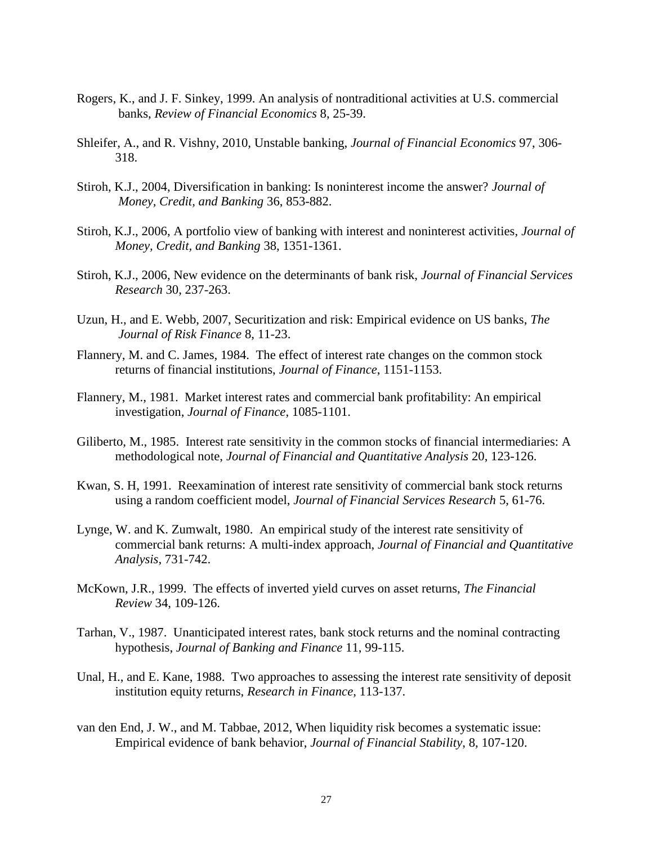- Rogers, K., and J. F. Sinkey, 1999. An analysis of nontraditional activities at U.S. commercial banks, *Review of Financial Economics* 8, 25-39.
- Shleifer, A., and R. Vishny, 2010, Unstable banking, *Journal of Financial Economics* 97, 306- 318.
- Stiroh, K.J., 2004, Diversification in banking: Is noninterest income the answer? *Journal of Money, Credit, and Banking* 36, 853-882.
- Stiroh, K.J., 2006, A portfolio view of banking with interest and noninterest activities, *Journal of Money, Credit, and Banking* 38, 1351-1361.
- Stiroh, K.J., 2006, New evidence on the determinants of bank risk, *Journal of Financial Services Research* 30, 237-263.
- Uzun, H., and E. Webb, 2007, Securitization and risk: Empirical evidence on US banks, *The Journal of Risk Finance* 8, 11-23.
- Flannery, M. and C. James, 1984. The effect of interest rate changes on the common stock returns of financial institutions, *Journal of Finance*, 1151-1153.
- Flannery, M., 1981. Market interest rates and commercial bank profitability: An empirical investigation, *Journal of Finance*, 1085-1101.
- Giliberto, M., 1985. Interest rate sensitivity in the common stocks of financial intermediaries: A methodological note, *Journal of Financial and Quantitative Analysis* 20, 123-126.
- Kwan, S. H, 1991. Reexamination of interest rate sensitivity of commercial bank stock returns using a random coefficient model, *Journal of Financial Services Research* 5, 61-76.
- Lynge, W. and K. Zumwalt, 1980. An empirical study of the interest rate sensitivity of commercial bank returns: A multi-index approach, *Journal of Financial and Quantitative Analysis*, 731-742.
- McKown, J.R., 1999. The effects of inverted yield curves on asset returns, *The Financial Review* 34, 109-126.
- Tarhan, V., 1987. Unanticipated interest rates, bank stock returns and the nominal contracting hypothesis, *Journal of Banking and Finance* 11, 99-115.
- Unal, H., and E. Kane, 1988. Two approaches to assessing the interest rate sensitivity of deposit institution equity returns, *Research in Finance*, 113-137.
- van den End, J. W., and M. Tabbae, 2012, When liquidity risk becomes a systematic issue: Empirical evidence of bank behavior, *Journal of Financial Stability*, 8, 107-120.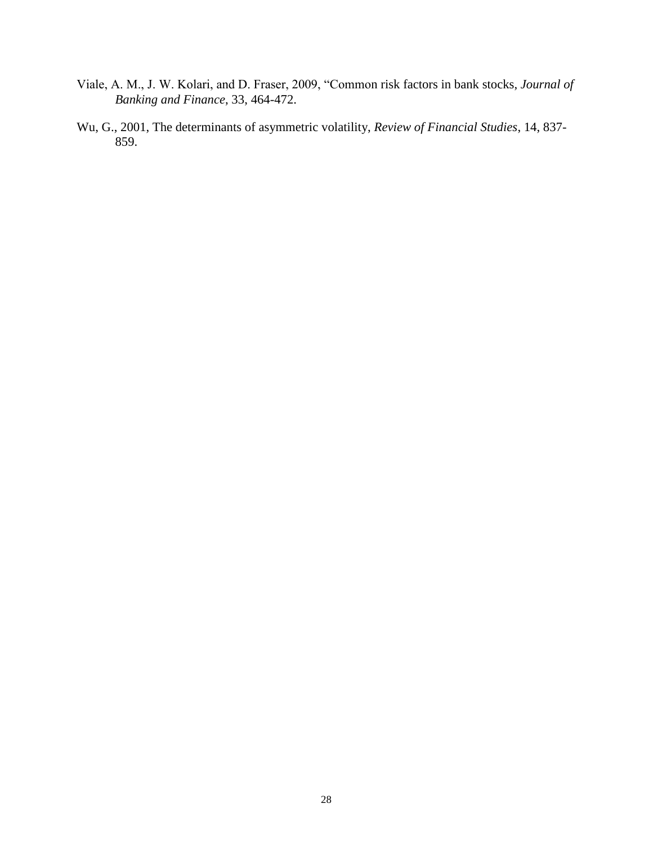- Viale, A. M., J. W. Kolari, and D. Fraser, 2009, "Common risk factors in bank stocks, *Journal of Banking and Finance*, 33, 464-472.
- Wu, G., 2001, The determinants of asymmetric volatility, *Review of Financial Studies*, 14, 837- 859.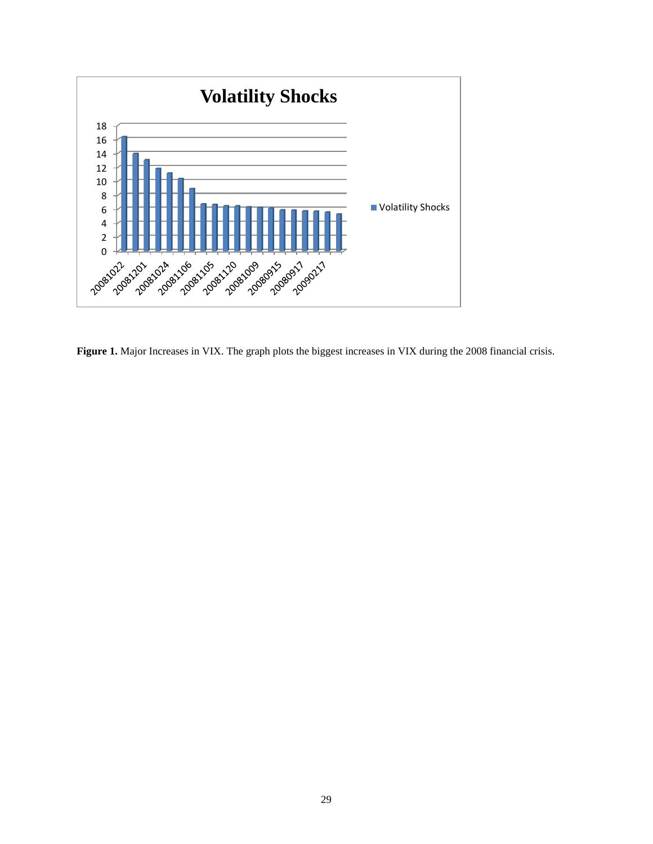

**Figure 1.** Major Increases in VIX. The graph plots the biggest increases in VIX during the 2008 financial crisis.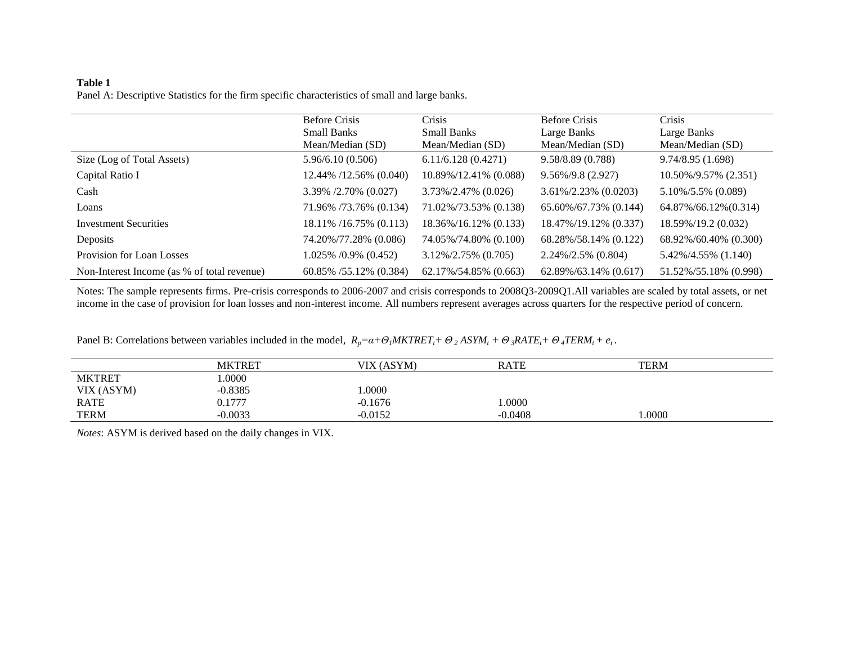Panel A: Descriptive Statistics for the firm specific characteristics of small and large banks.

|                                             | <b>Before Crisis</b>   | <b>Crisis</b>             | <b>Before Crisis</b>     | <b>Crisis</b>         |
|---------------------------------------------|------------------------|---------------------------|--------------------------|-----------------------|
|                                             | <b>Small Banks</b>     | <b>Small Banks</b>        | Large Banks              | Large Banks           |
|                                             | Mean/Median (SD)       | Mean/Median (SD)          | Mean/Median (SD)         | Mean/Median (SD)      |
| Size (Log of Total Assets)                  | 5.96/6.10(0.506)       | 6.11/6.128(0.4271)        | 9.58/8.89 (0.788)        | 9.74/8.95(1.698)      |
| Capital Ratio I                             | 12.44% /12.56% (0.040) | $10.89\%/12.41\%$ (0.088) | $9.56\%/9.8(2.927)$      | 10.50%/9.57% (2.351)  |
| Cash                                        | 3.39% /2.70% (0.027)   | $3.73\%/2.47\%$ (0.026)   | $3.61\%/2.23\%$ (0.0203) | 5.10%/5.5% (0.089)    |
| Loans                                       | 71.96% /73.76% (0.134) | 71.02%/73.53% (0.138)     | 65.60%/67.73% (0.144)    | 64.87%/66.12%(0.314)  |
| <b>Investment Securities</b>                | 18.11% /16.75% (0.113) | 18.36%/16.12% (0.133)     | 18.47%/19.12% (0.337)    | 18.59%/19.2 (0.032)   |
| Deposits                                    | 74.20%/77.28% (0.086)  | 74.05%/74.80% (0.100)     | 68.28%/58.14% (0.122)    | 68.92%/60.40% (0.300) |
| Provision for Loan Losses                   | 1.025% /0.9% (0.452)   | $3.12\%/2.75\%$ (0.705)   | $2.24\%/2.5\%$ (0.804)   | 5.42%/4.55% (1.140)   |
| Non-Interest Income (as % of total revenue) | 60.85% /55.12% (0.384) | 62.17%/54.85% (0.663)     | 62.89%/63.14% (0.617)    | 51.52%/55.18% (0.998) |

Notes: The sample represents firms. Pre-crisis corresponds to 2006-2007 and crisis corresponds to 2008Q3-2009Q1.All variables are scaled by total assets, or net income in the case of provision for loan losses and non-interest income. All numbers represent averages across quarters for the respective period of concern.

|  | Panel B: Correlations between variables included in the model, $R_p = \alpha + \Theta_l MKTRET_t + \Theta_2 ASYM_t + \Theta_3 RATE_t + \Theta_4 TERM_t + e_t$ . |
|--|-----------------------------------------------------------------------------------------------------------------------------------------------------------------|
|  |                                                                                                                                                                 |

|               | <b>MKTRET</b> | VIX (ASYM) | <b>RATE</b> | <b>TERM</b> |
|---------------|---------------|------------|-------------|-------------|
| <b>MKTRET</b> | .0000         |            |             |             |
| VIX (ASYM)    | $-0.8385$     | .0000      |             |             |
| <b>RATE</b>   | 0.1777        | $-0.1676$  | .0000       |             |
| <b>TERM</b>   | $-0.0033$     | $-0.0152$  | $-0.0408$   | $0000$ .    |
|               |               |            |             |             |

*Notes*: ASYM is derived based on the daily changes in VIX.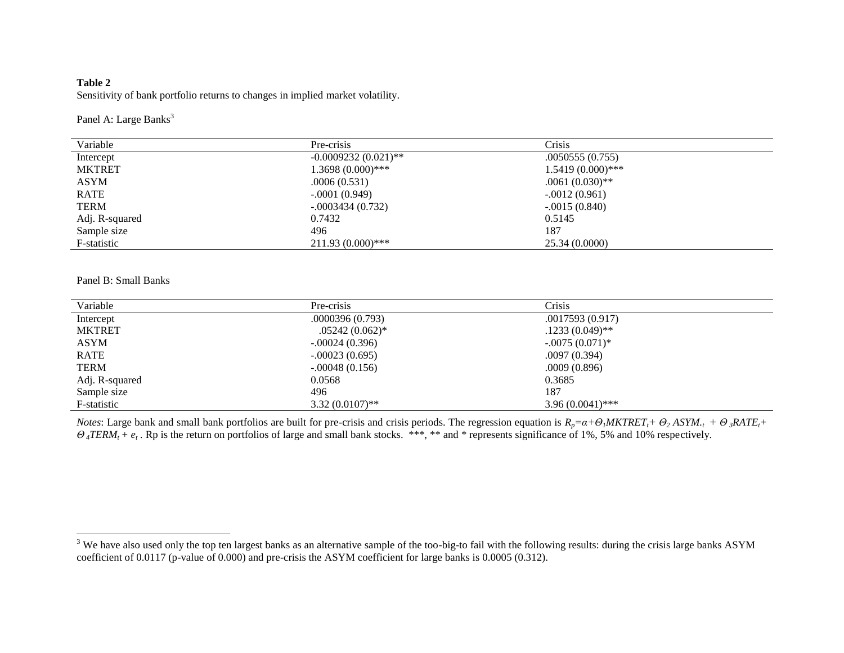Sensitivity of bank portfolio returns to changes in implied market volatility.

Panel A: Large Banks<sup>3</sup>

| Variable       | Pre-crisis             | Crisis              |
|----------------|------------------------|---------------------|
| Intercept      | $-0.0009232(0.021)$ ** | .0050555(0.755)     |
| MKTRET         | $1.3698(0.000)$ ***    | $1.5419(0.000)$ *** |
| ASYM           | .0006(0.531)           | $.0061(0.030)**$    |
| RATE           | $-.0001(0.949)$        | $-.0012(0.961)$     |
| <b>TERM</b>    | $-.0003434(0.732)$     | $-.0015(0.840)$     |
| Adj. R-squared | 0.7432                 | 0.5145              |
| Sample size    | 496                    | 187                 |
| F-statistic    | $211.93(0.000)$ ***    | 25.34 (0.0000)      |

#### Panel B: Small Banks

l

| Variable       | Pre-crisis        | Crisis             |
|----------------|-------------------|--------------------|
| Intercept      | .0000396(0.793)   | .0017593(0.917)    |
| MKTRET         | $.05242(0.062)$ * | $.1233(0.049)$ **  |
| ASYM           | $-.00024(0.396)$  | $-.0075(0.071)$ *  |
| RATE           | $-.00023(0.695)$  | .0097(0.394)       |
| TERM           | $-.00048(0.156)$  | .0009(0.896)       |
| Adj. R-squared | 0.0568            | 0.3685             |
| Sample size    | 496               | 187                |
| F-statistic    | $3.32(0.0107)$ ** | $3.96(0.0041)$ *** |

*Notes*: Large bank and small bank portfolios are built for pre-crisis and crisis periods. The regression equation is  $R_p = \alpha + \theta_I MKTRET_t + \theta_2 ASYM_{t} + \theta_3 RATE_t + \theta_4 RATE_t$ *Θ <sup>4</sup>TERMt + e<sup>t</sup> .* Rp is the return on portfolios of large and small bank stocks. \*\*\*, \*\* and \* represents significance of 1%, 5% and 10% respectively.

 $3$  We have also used only the top ten largest banks as an alternative sample of the too-big-to fail with the following results: during the crisis large banks ASYM coefficient of 0.0117 (p-value of 0.000) and pre-crisis the ASYM coefficient for large banks is 0.0005 (0.312).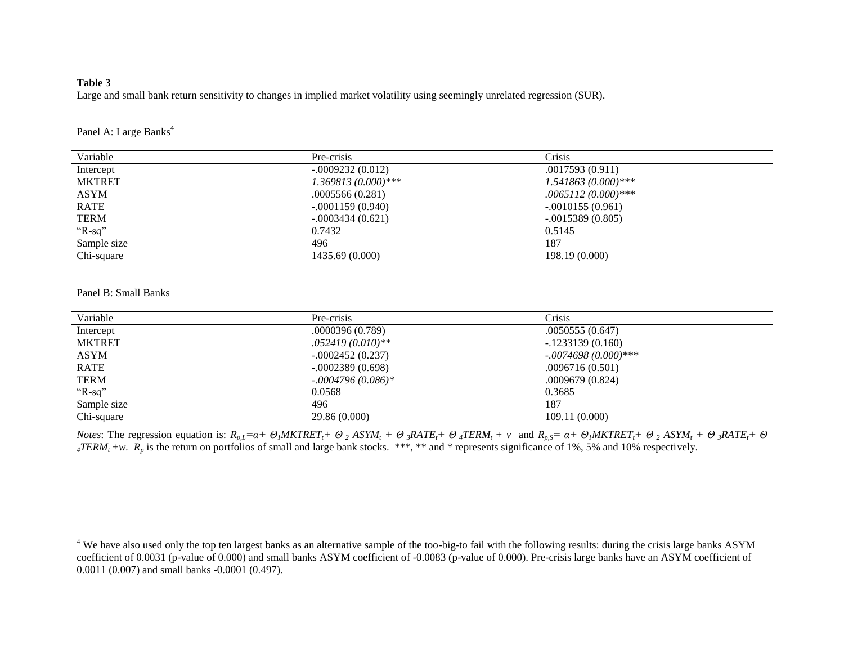Large and small bank return sensitivity to changes in implied market volatility using seemingly unrelated regression (SUR).

Panel A: Large Banks<sup>4</sup>

| Variable    | Pre-crisis           | Crisis               |
|-------------|----------------------|----------------------|
| Intercept   | $-.0009232(0.012)$   | .0017593(0.911)      |
| MKTRET      | $1.369813(0.000)***$ | $1.541863(0.000)***$ |
| ASYM        | .0005566(0.281)      | $.0065112(0.000)***$ |
| RATE        | $-.0001159(0.940)$   | $-.0010155(0.961)$   |
| TERM        | $-.0003434(0.621)$   | $-.0015389(0.805)$   |
| " $R-sq$ "  | 0.7432               | 0.5145               |
| Sample size | 496                  | 187                  |
| Chi-square  | 1435.69 (0.000)      | 198.19 (0.000)       |

Panel B: Small Banks

l

| Variable      | Pre-crisis          | Crisis                |
|---------------|---------------------|-----------------------|
| Intercept     | .0000396 (0.789)    | .0050555(0.647)       |
| <b>MKTRET</b> | $.052419(0.010)**$  | $-.1233139(0.160)$    |
| ASYM          | $-.0002452(0.237)$  | $-.0074698(0.000)***$ |
| RATE          | $-.0002389(0.698)$  | .0096716(0.501)       |
| TERM          | $-.0004796(0.086)*$ | .0009679(0.824)       |
| " $R-sq$ "    | 0.0568              | 0.3685                |
| Sample size   | 496                 | 187                   |
| Chi-square    | 29.86 (0.000)       | 109.11 (0.000)        |

*Notes*: The regression equation is:  $R_{p,L} = \alpha + \Theta_1 MKTRET_t + \Theta_2 ASYM_t + \Theta_3 RATE_t + \Theta_4 TERM_t + v$  and  $R_{p,S} = \alpha + \Theta_1 MKTRET_t + \Theta_2 ASYM_t + \Theta_3 RATE_t + \Theta_4 TERM_t + v$  $4TERM_t + w$ .  $R_p$  is the return on portfolios of small and large bank stocks. \*\*\*, \*\* and \* represents significance of 1%, 5% and 10% respectively.

 $4\,$  We have also used only the top ten largest banks as an alternative sample of the too-big-to fail with the following results: during the crisis large banks ASYM coefficient of 0.0031 (p-value of 0.000) and small banks ASYM coefficient of -0.0083 (p-value of 0.000). Pre-crisis large banks have an ASYM coefficient of 0.0011 (0.007) and small banks -0.0001 (0.497).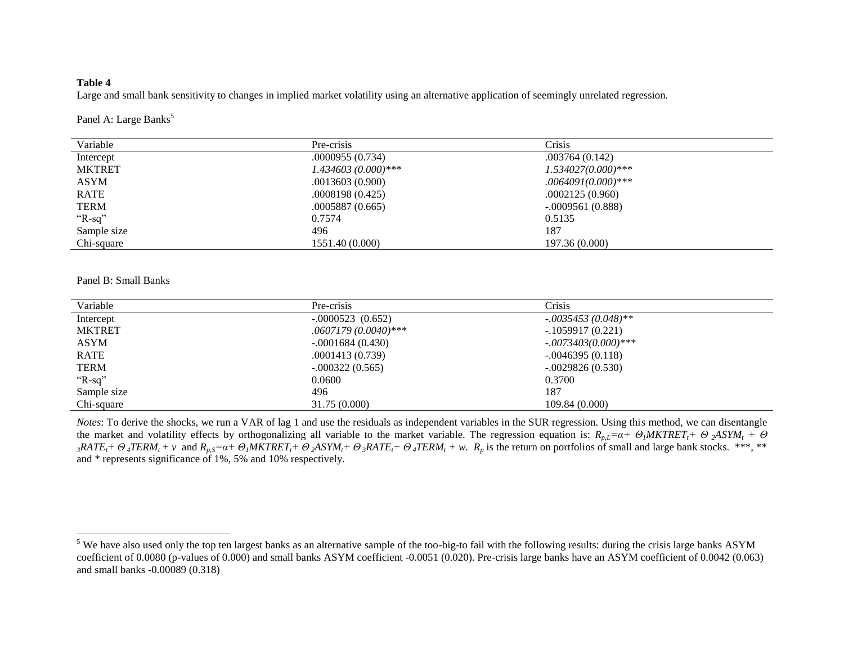Large and small bank sensitivity to changes in implied market volatility using an alternative application of seemingly unrelated regression.

Panel A: Large Banks<sup>5</sup>

| Variable    | Pre-crisis           | Crisis               |
|-------------|----------------------|----------------------|
| Intercept   | .0000955(0.734)      | .003764(0.142)       |
| MKTRET      | $1.434603(0.000)***$ | $1.534027(0.000)***$ |
| ASYM        | .0013603(0.900)      | $.0064091(0.000)***$ |
| RATE        | .0008198(0.425)      | .0002125(0.960)      |
| TERM        | .0005887(0.665)      | $-.0009561(0.888)$   |
| " $R-sq$ "  | 0.7574               | 0.5135               |
| Sample size | 496                  | 187                  |
| Chi-square  | 1551.40 (0.000)      | 197.36 (0.000)       |

#### Panel B: Small Banks

l

| Variable    | Pre-crisis             | Crisis                |
|-------------|------------------------|-----------------------|
| Intercept   | $-.0000523$ (0.652)    | $-.0035453(0.048)$ ** |
| MKTRET      | $.0607179(0.0040)$ *** | $-.1059917(0.221)$    |
| ASYM        | $-.0001684(0.430)$     | $-.0073403(0.000)***$ |
| RATE        | .0001413(0.739)        | $-.0046395(0.118)$    |
| <b>TERM</b> | $-.000322(0.565)$      | $-.0029826(0.530)$    |
| " $R-sq$ "  | 0.0600                 | 0.3700                |
| Sample size | 496                    | 187                   |
| Chi-square  | 31.75 (0.000)          | 109.84 (0.000)        |

*Notes*: To derive the shocks, we run a VAR of lag 1 and use the residuals as independent variables in the SUR regression. Using this method, we can disentangle the market and volatility effects by orthogonalizing all variable to the market variable. The regression equation is:  $R_{p,L} = \alpha + \Theta_1 MKTRET_t + \Theta_2 ASYM_t + \Theta$  ${}_{3}RATE_t + \Theta_{4}TERM_t + v$  and  $R_{p,S} = \alpha + \Theta_{1}MKTRET_t + \Theta_{2}ASYM_t + \Theta_{3}RATE_t + \Theta_{4}TERM_t + w$ .  $R_p$  is the return on portfolios of small and large bank stocks. \*\*\*, \*\* and \* represents significance of 1%, 5% and 10% respectively.

 $5$  We have also used only the top ten largest banks as an alternative sample of the too-big-to fail with the following results: during the crisis large banks ASYM coefficient of 0.0080 (p-values of 0.000) and small banks ASYM coefficient -0.0051 (0.020). Pre-crisis large banks have an ASYM coefficient of 0.0042 (0.063) and small banks -0.00089 (0.318)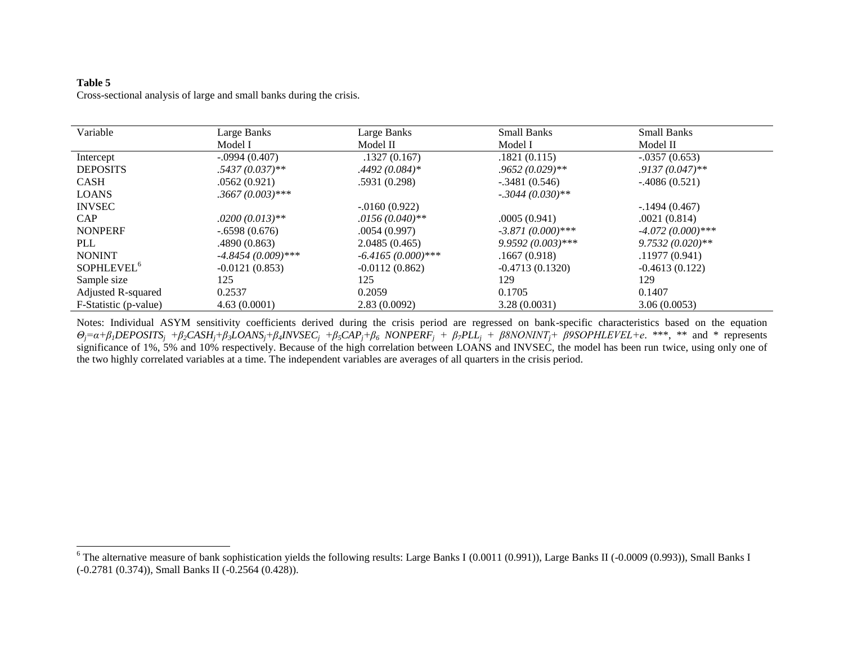$\overline{a}$ 

Cross-sectional analysis of large and small banks during the crisis.

| Variable               | Large Banks          | Large Banks         | <b>Small Banks</b>  | <b>Small Banks</b>  |
|------------------------|----------------------|---------------------|---------------------|---------------------|
|                        | Model I              | Model II            | Model I             | Model II            |
| Intercept              | $-.0994(0.407)$      | .1327(0.167)        | .1821(0.115)        | $-.0357(0.653)$     |
| <b>DEPOSITS</b>        | $.5437(0.037)$ **    | $.4492(0.084)*$     | $.9652(0.029)**$    | $.9137(0.047)$ **   |
| CASH                   | .0562(0.921)         | .5931 (0.298)       | $-.3481(0.546)$     | $-.4086(0.521)$     |
| <b>LOANS</b>           | $.3667(0.003)$ ***   |                     | $-.3044(0.030)$ **  |                     |
| <b>INVSEC</b>          |                      | $-.0160(0.922)$     |                     | $-1494(0.467)$      |
| <b>CAP</b>             | $.0200(0.013)$ **    | $.0156(0.040)**$    | .0005(0.941)        | .0021(0.814)        |
| <b>NONPERF</b>         | $-.6598(0.676)$      | .0054(0.997)        | $-3.871(0.000)***$  | $-4.072(0.000)$ *** |
| PLL                    | .4890 (0.863)        | 2.0485(0.465)       | $9.9592(0.003)$ *** | $9.7532(0.020)$ **  |
| <b>NONINT</b>          | $-4.8454(0.009)$ *** | $-6.4165(0.000)***$ | .1667(0.918)        | .11977 (0.941)      |
| SOPHLEVEL <sup>6</sup> | $-0.0121(0.853)$     | $-0.0112(0.862)$    | $-0.4713(0.1320)$   | $-0.4613(0.122)$    |
| Sample size            | 125                  | 125                 | 129                 | 129                 |
| Adjusted R-squared     | 0.2537               | 0.2059              | 0.1705              | 0.1407              |
| F-Statistic (p-value)  | 4.63(0.0001)         | 2.83(0.0092)        | 3.28(0.0031)        | 3.06(0.0053)        |

Notes: Individual ASYM sensitivity coefficients derived during the crisis period are regressed on bank-specific characteristics based on the equation  $\Theta_i = \alpha + \beta_1 DEPOSITS_i + \beta_2 CASH_i + \beta_3 LOANS_i + \beta_4 INVSEC_i + \beta_5 CAP_i + \beta_6 NONPERF_i + \beta_7 PLL_i + \beta 8 NONINT_i + \beta 9 SOPHLEVEL + e. ***$ , \*\* and \* represents significance of 1%, 5% and 10% respectively. Because of the high correlation between LOANS and INVSEC, the model has been run twice, using only one of the two highly correlated variables at a time. The independent variables are averages of all quarters in the crisis period.

 $^6$  The alternative measure of bank sophistication yields the following results: Large Banks I (0.0011 (0.991)), Large Banks II (-0.0009 (0.993)), Small Banks I (-0.2781 (0.374)), Small Banks II (-0.2564 (0.428)).